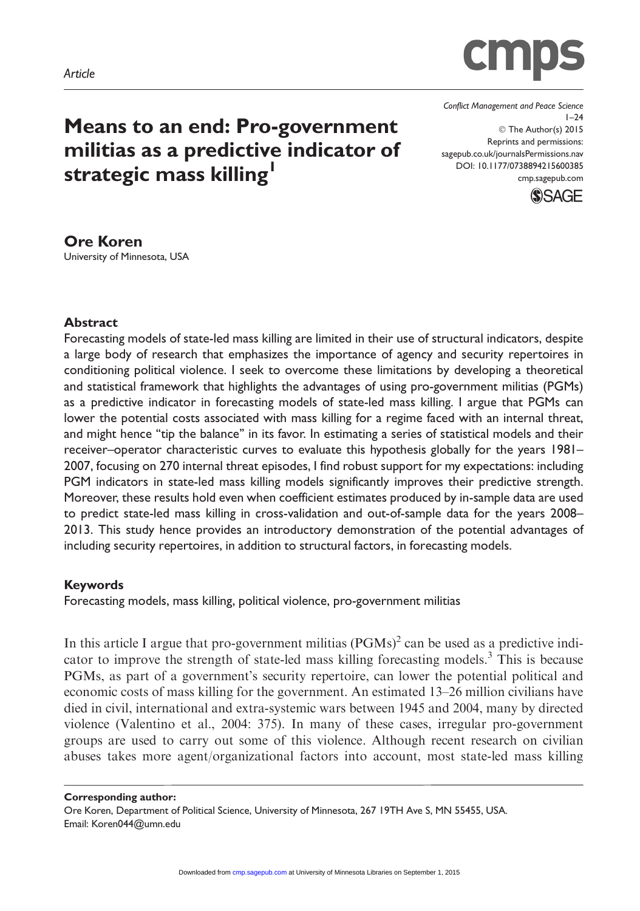

Conflict Management and Peace Science  $1 - 24$ © The Author(s) 2015 Reprints and permissions: sagepub.co.uk/journalsPermissions.nav DOI: 10.1177/0738894215600385 cmp.sagepub.com



# Means to an end: Pro-government militias as a predictive indicator of strategic mass killing<sup>1</sup>

## Ore Koren

University of Minnesota, USA

## **Abstract**

Forecasting models of state-led mass killing are limited in their use of structural indicators, despite a large body of research that emphasizes the importance of agency and security repertoires in conditioning political violence. I seek to overcome these limitations by developing a theoretical and statistical framework that highlights the advantages of using pro-government militias (PGMs) as a predictive indicator in forecasting models of state-led mass killing. I argue that PGMs can lower the potential costs associated with mass killing for a regime faced with an internal threat, and might hence ''tip the balance'' in its favor. In estimating a series of statistical models and their receiver–operator characteristic curves to evaluate this hypothesis globally for the years 1981– 2007, focusing on 270 internal threat episodes, I find robust support for my expectations: including PGM indicators in state-led mass killing models significantly improves their predictive strength. Moreover, these results hold even when coefficient estimates produced by in-sample data are used to predict state-led mass killing in cross-validation and out-of-sample data for the years 2008– 2013. This study hence provides an introductory demonstration of the potential advantages of including security repertoires, in addition to structural factors, in forecasting models.

## Keywords

Forecasting models, mass killing, political violence, pro-government militias

In this article I argue that pro-government militias  $(PGMs)^2$  can be used as a predictive indicator to improve the strength of state-led mass killing forecasting models.<sup>3</sup> This is because PGMs, as part of a government's security repertoire, can lower the potential political and economic costs of mass killing for the government. An estimated 13–26 million civilians have died in civil, international and extra-systemic wars between 1945 and 2004, many by directed violence (Valentino et al., 2004: 375). In many of these cases, irregular pro-government groups are used to carry out some of this violence. Although recent research on civilian abuses takes more agent/organizational factors into account, most state-led mass killing

Corresponding author:

Ore Koren, Department of Political Science, University of Minnesota, 267 19TH Ave S, MN 55455, USA. Email: Koren044@umn.edu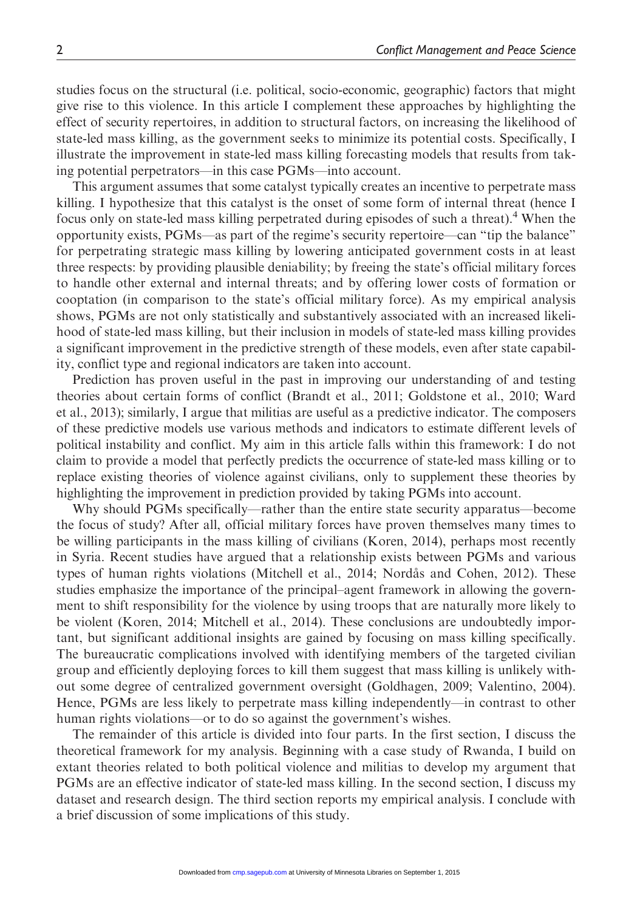studies focus on the structural (i.e. political, socio-economic, geographic) factors that might give rise to this violence. In this article I complement these approaches by highlighting the effect of security repertoires, in addition to structural factors, on increasing the likelihood of state-led mass killing, as the government seeks to minimize its potential costs. Specifically, I illustrate the improvement in state-led mass killing forecasting models that results from taking potential perpetrators—in this case PGMs—into account.

This argument assumes that some catalyst typically creates an incentive to perpetrate mass killing. I hypothesize that this catalyst is the onset of some form of internal threat (hence I focus only on state-led mass killing perpetrated during episodes of such a threat).4 When the opportunity exists, PGMs—as part of the regime's security repertoire—can ''tip the balance'' for perpetrating strategic mass killing by lowering anticipated government costs in at least three respects: by providing plausible deniability; by freeing the state's official military forces to handle other external and internal threats; and by offering lower costs of formation or cooptation (in comparison to the state's official military force). As my empirical analysis shows, PGMs are not only statistically and substantively associated with an increased likelihood of state-led mass killing, but their inclusion in models of state-led mass killing provides a significant improvement in the predictive strength of these models, even after state capability, conflict type and regional indicators are taken into account.

Prediction has proven useful in the past in improving our understanding of and testing theories about certain forms of conflict (Brandt et al., 2011; Goldstone et al., 2010; Ward et al., 2013); similarly, I argue that militias are useful as a predictive indicator. The composers of these predictive models use various methods and indicators to estimate different levels of political instability and conflict. My aim in this article falls within this framework: I do not claim to provide a model that perfectly predicts the occurrence of state-led mass killing or to replace existing theories of violence against civilians, only to supplement these theories by highlighting the improvement in prediction provided by taking PGMs into account.

Why should PGMs specifically—rather than the entire state security apparatus—become the focus of study? After all, official military forces have proven themselves many times to be willing participants in the mass killing of civilians (Koren, 2014), perhaps most recently in Syria. Recent studies have argued that a relationship exists between PGMs and various types of human rights violations (Mitchell et al., 2014; Nordås and Cohen, 2012). These studies emphasize the importance of the principal–agent framework in allowing the government to shift responsibility for the violence by using troops that are naturally more likely to be violent (Koren, 2014; Mitchell et al., 2014). These conclusions are undoubtedly important, but significant additional insights are gained by focusing on mass killing specifically. The bureaucratic complications involved with identifying members of the targeted civilian group and efficiently deploying forces to kill them suggest that mass killing is unlikely without some degree of centralized government oversight (Goldhagen, 2009; Valentino, 2004). Hence, PGMs are less likely to perpetrate mass killing independently—in contrast to other human rights violations—or to do so against the government's wishes.

The remainder of this article is divided into four parts. In the first section, I discuss the theoretical framework for my analysis. Beginning with a case study of Rwanda, I build on extant theories related to both political violence and militias to develop my argument that PGMs are an effective indicator of state-led mass killing. In the second section, I discuss my dataset and research design. The third section reports my empirical analysis. I conclude with a brief discussion of some implications of this study.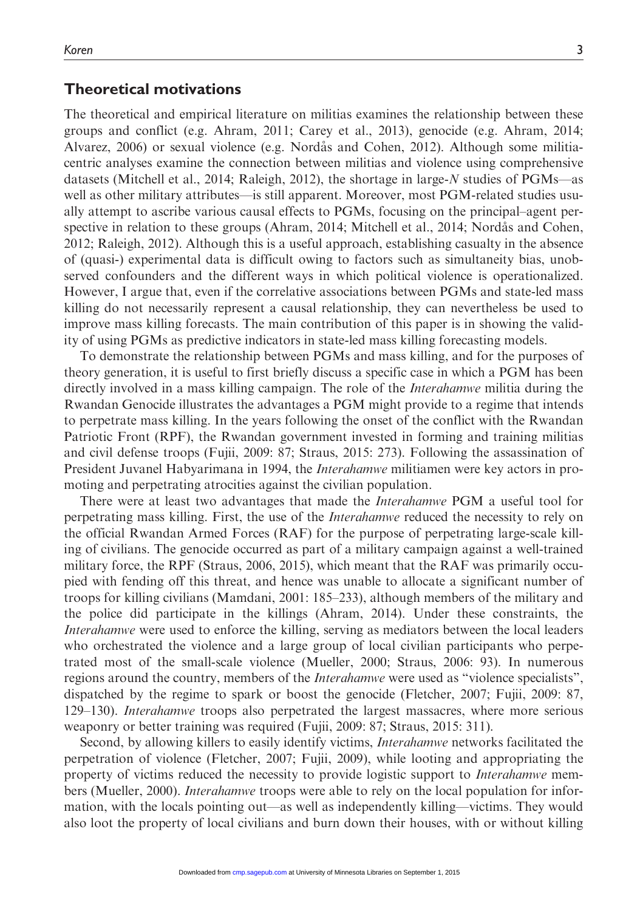#### Theoretical motivations

The theoretical and empirical literature on militias examines the relationship between these groups and conflict (e.g. Ahram, 2011; Carey et al., 2013), genocide (e.g. Ahram, 2014; Alvarez, 2006) or sexual violence (e.g. Nordås and Cohen, 2012). Although some militiacentric analyses examine the connection between militias and violence using comprehensive datasets (Mitchell et al., 2014; Raleigh, 2012), the shortage in large-N studies of PGMs—as well as other military attributes—is still apparent. Moreover, most PGM-related studies usually attempt to ascribe various causal effects to PGMs, focusing on the principal–agent perspective in relation to these groups (Ahram, 2014; Mitchell et al., 2014; Nordås and Cohen, 2012; Raleigh, 2012). Although this is a useful approach, establishing casualty in the absence of (quasi-) experimental data is difficult owing to factors such as simultaneity bias, unobserved confounders and the different ways in which political violence is operationalized. However, I argue that, even if the correlative associations between PGMs and state-led mass killing do not necessarily represent a causal relationship, they can nevertheless be used to improve mass killing forecasts. The main contribution of this paper is in showing the validity of using PGMs as predictive indicators in state-led mass killing forecasting models.

To demonstrate the relationship between PGMs and mass killing, and for the purposes of theory generation, it is useful to first briefly discuss a specific case in which a PGM has been directly involved in a mass killing campaign. The role of the *Interahamwe* militia during the Rwandan Genocide illustrates the advantages a PGM might provide to a regime that intends to perpetrate mass killing. In the years following the onset of the conflict with the Rwandan Patriotic Front (RPF), the Rwandan government invested in forming and training militias and civil defense troops (Fujii, 2009: 87; Straus, 2015: 273). Following the assassination of President Juvanel Habyarimana in 1994, the Interahamwe militiamen were key actors in promoting and perpetrating atrocities against the civilian population.

There were at least two advantages that made the Interahamwe PGM a useful tool for perpetrating mass killing. First, the use of the Interahamwe reduced the necessity to rely on the official Rwandan Armed Forces (RAF) for the purpose of perpetrating large-scale killing of civilians. The genocide occurred as part of a military campaign against a well-trained military force, the RPF (Straus, 2006, 2015), which meant that the RAF was primarily occupied with fending off this threat, and hence was unable to allocate a significant number of troops for killing civilians (Mamdani, 2001: 185–233), although members of the military and the police did participate in the killings (Ahram, 2014). Under these constraints, the Interahamwe were used to enforce the killing, serving as mediators between the local leaders who orchestrated the violence and a large group of local civilian participants who perpetrated most of the small-scale violence (Mueller, 2000; Straus, 2006: 93). In numerous regions around the country, members of the *Interahamwe* were used as "violence specialists", dispatched by the regime to spark or boost the genocide (Fletcher, 2007; Fujii, 2009: 87, 129–130). Interahamwe troops also perpetrated the largest massacres, where more serious weaponry or better training was required (Fujii, 2009: 87; Straus, 2015: 311).

Second, by allowing killers to easily identify victims, Interahamwe networks facilitated the perpetration of violence (Fletcher, 2007; Fujii, 2009), while looting and appropriating the property of victims reduced the necessity to provide logistic support to *Interahamwe* members (Mueller, 2000). *Interahamwe* troops were able to rely on the local population for information, with the locals pointing out—as well as independently killing—victims. They would also loot the property of local civilians and burn down their houses, with or without killing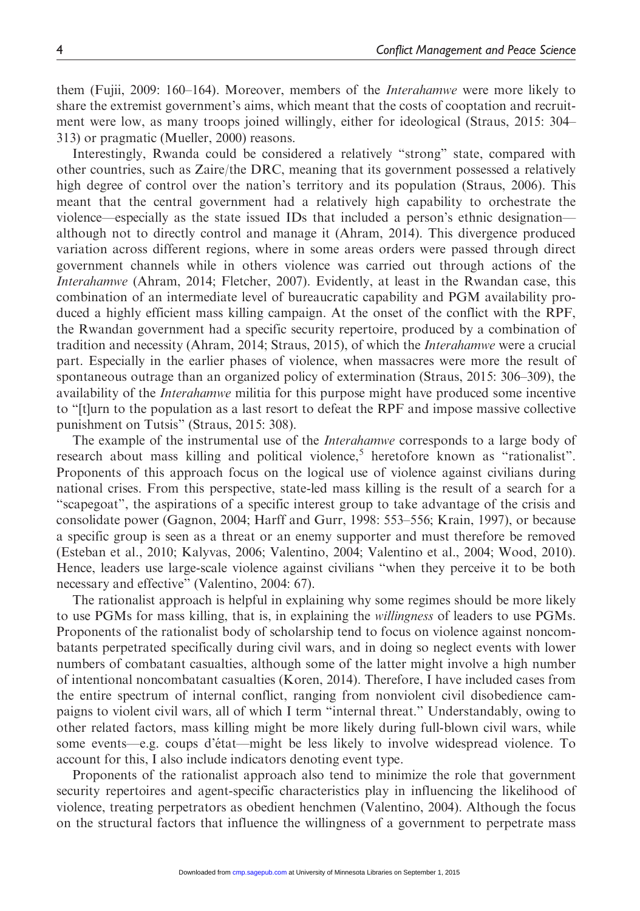them (Fujii, 2009: 160–164). Moreover, members of the Interahamwe were more likely to share the extremist government's aims, which meant that the costs of cooptation and recruitment were low, as many troops joined willingly, either for ideological (Straus, 2015: 304– 313) or pragmatic (Mueller, 2000) reasons.

Interestingly, Rwanda could be considered a relatively ''strong'' state, compared with other countries, such as Zaire/the DRC, meaning that its government possessed a relatively high degree of control over the nation's territory and its population (Straus, 2006). This meant that the central government had a relatively high capability to orchestrate the violence—especially as the state issued IDs that included a person's ethnic designation although not to directly control and manage it (Ahram, 2014). This divergence produced variation across different regions, where in some areas orders were passed through direct government channels while in others violence was carried out through actions of the Interahamwe (Ahram, 2014; Fletcher, 2007). Evidently, at least in the Rwandan case, this combination of an intermediate level of bureaucratic capability and PGM availability produced a highly efficient mass killing campaign. At the onset of the conflict with the RPF, the Rwandan government had a specific security repertoire, produced by a combination of tradition and necessity (Ahram, 2014; Straus, 2015), of which the Interahamwe were a crucial part. Especially in the earlier phases of violence, when massacres were more the result of spontaneous outrage than an organized policy of extermination (Straus, 2015: 306–309), the availability of the Interahamwe militia for this purpose might have produced some incentive to ''[t]urn to the population as a last resort to defeat the RPF and impose massive collective punishment on Tutsis'' (Straus, 2015: 308).

The example of the instrumental use of the *Interahamwe* corresponds to a large body of research about mass killing and political violence, $5$  heretofore known as "rationalist". Proponents of this approach focus on the logical use of violence against civilians during national crises. From this perspective, state-led mass killing is the result of a search for a ''scapegoat'', the aspirations of a specific interest group to take advantage of the crisis and consolidate power (Gagnon, 2004; Harff and Gurr, 1998: 553–556; Krain, 1997), or because a specific group is seen as a threat or an enemy supporter and must therefore be removed (Esteban et al., 2010; Kalyvas, 2006; Valentino, 2004; Valentino et al., 2004; Wood, 2010). Hence, leaders use large-scale violence against civilians ''when they perceive it to be both necessary and effective'' (Valentino, 2004: 67).

The rationalist approach is helpful in explaining why some regimes should be more likely to use PGMs for mass killing, that is, in explaining the willingness of leaders to use PGMs. Proponents of the rationalist body of scholarship tend to focus on violence against noncombatants perpetrated specifically during civil wars, and in doing so neglect events with lower numbers of combatant casualties, although some of the latter might involve a high number of intentional noncombatant casualties (Koren, 2014). Therefore, I have included cases from the entire spectrum of internal conflict, ranging from nonviolent civil disobedience campaigns to violent civil wars, all of which I term ''internal threat.'' Understandably, owing to other related factors, mass killing might be more likely during full-blown civil wars, while some events—e.g. coups d'état—might be less likely to involve widespread violence. To account for this, I also include indicators denoting event type.

Proponents of the rationalist approach also tend to minimize the role that government security repertoires and agent-specific characteristics play in influencing the likelihood of violence, treating perpetrators as obedient henchmen (Valentino, 2004). Although the focus on the structural factors that influence the willingness of a government to perpetrate mass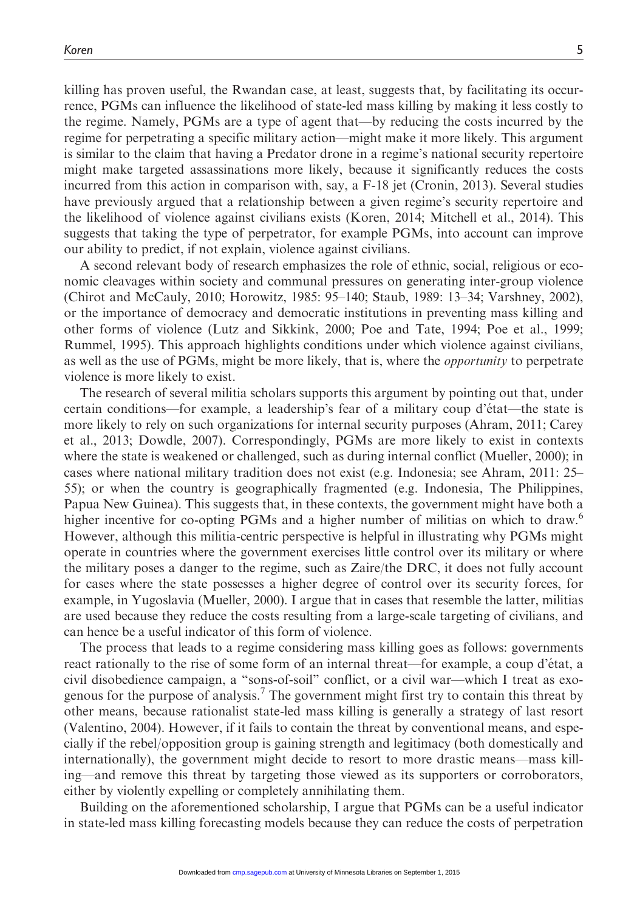killing has proven useful, the Rwandan case, at least, suggests that, by facilitating its occurrence, PGMs can influence the likelihood of state-led mass killing by making it less costly to the regime. Namely, PGMs are a type of agent that—by reducing the costs incurred by the regime for perpetrating a specific military action—might make it more likely. This argument is similar to the claim that having a Predator drone in a regime's national security repertoire might make targeted assassinations more likely, because it significantly reduces the costs incurred from this action in comparison with, say, a F-18 jet (Cronin, 2013). Several studies have previously argued that a relationship between a given regime's security repertoire and the likelihood of violence against civilians exists (Koren, 2014; Mitchell et al., 2014). This suggests that taking the type of perpetrator, for example PGMs, into account can improve our ability to predict, if not explain, violence against civilians.

A second relevant body of research emphasizes the role of ethnic, social, religious or economic cleavages within society and communal pressures on generating inter-group violence (Chirot and McCauly, 2010; Horowitz, 1985: 95–140; Staub, 1989: 13–34; Varshney, 2002), or the importance of democracy and democratic institutions in preventing mass killing and other forms of violence (Lutz and Sikkink, 2000; Poe and Tate, 1994; Poe et al., 1999; Rummel, 1995). This approach highlights conditions under which violence against civilians, as well as the use of PGMs, might be more likely, that is, where the *opportunity* to perpetrate violence is more likely to exist.

The research of several militia scholars supports this argument by pointing out that, under certain conditions—for example, a leadership's fear of a military coup d'état—the state is more likely to rely on such organizations for internal security purposes (Ahram, 2011; Carey et al., 2013; Dowdle, 2007). Correspondingly, PGMs are more likely to exist in contexts where the state is weakened or challenged, such as during internal conflict (Mueller, 2000); in cases where national military tradition does not exist (e.g. Indonesia; see Ahram, 2011: 25– 55); or when the country is geographically fragmented (e.g. Indonesia, The Philippines, Papua New Guinea). This suggests that, in these contexts, the government might have both a higher incentive for co-opting PGMs and a higher number of militias on which to draw.<sup>6</sup> However, although this militia-centric perspective is helpful in illustrating why PGMs might operate in countries where the government exercises little control over its military or where the military poses a danger to the regime, such as Zaire/the DRC, it does not fully account for cases where the state possesses a higher degree of control over its security forces, for example, in Yugoslavia (Mueller, 2000). I argue that in cases that resemble the latter, militias are used because they reduce the costs resulting from a large-scale targeting of civilians, and can hence be a useful indicator of this form of violence.

The process that leads to a regime considering mass killing goes as follows: governments react rationally to the rise of some form of an internal threat—for example, a coup d'état, a civil disobedience campaign, a ''sons-of-soil'' conflict, or a civil war—which I treat as exogenous for the purpose of analysis.7 The government might first try to contain this threat by other means, because rationalist state-led mass killing is generally a strategy of last resort (Valentino, 2004). However, if it fails to contain the threat by conventional means, and especially if the rebel/opposition group is gaining strength and legitimacy (both domestically and internationally), the government might decide to resort to more drastic means—mass killing—and remove this threat by targeting those viewed as its supporters or corroborators, either by violently expelling or completely annihilating them.

Building on the aforementioned scholarship, I argue that PGMs can be a useful indicator in state-led mass killing forecasting models because they can reduce the costs of perpetration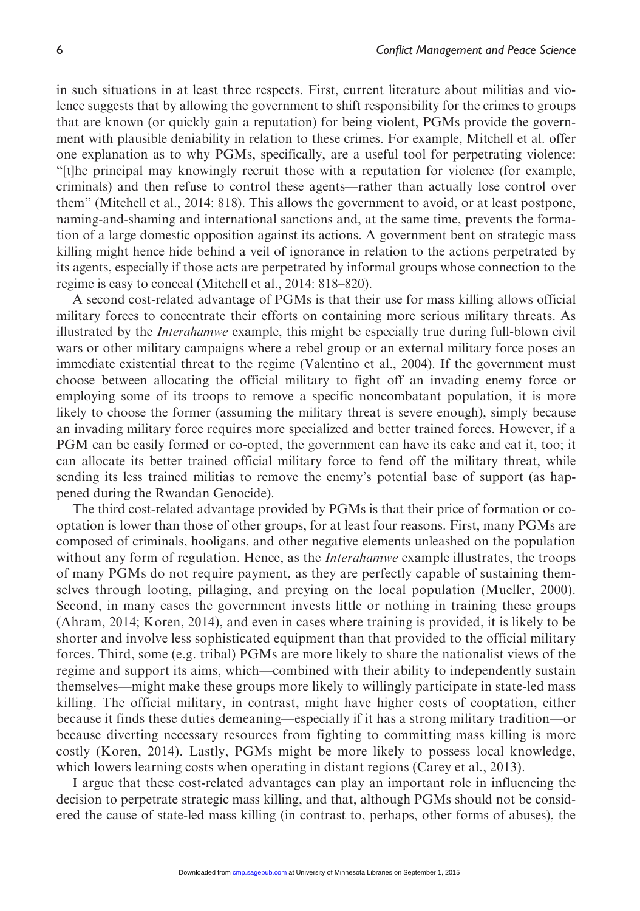in such situations in at least three respects. First, current literature about militias and violence suggests that by allowing the government to shift responsibility for the crimes to groups that are known (or quickly gain a reputation) for being violent, PGMs provide the government with plausible deniability in relation to these crimes. For example, Mitchell et al. offer one explanation as to why PGMs, specifically, are a useful tool for perpetrating violence: ''[t]he principal may knowingly recruit those with a reputation for violence (for example, criminals) and then refuse to control these agents—rather than actually lose control over them'' (Mitchell et al., 2014: 818). This allows the government to avoid, or at least postpone, naming-and-shaming and international sanctions and, at the same time, prevents the formation of a large domestic opposition against its actions. A government bent on strategic mass killing might hence hide behind a veil of ignorance in relation to the actions perpetrated by its agents, especially if those acts are perpetrated by informal groups whose connection to the regime is easy to conceal (Mitchell et al., 2014: 818–820).

A second cost-related advantage of PGMs is that their use for mass killing allows official military forces to concentrate their efforts on containing more serious military threats. As illustrated by the Interahamwe example, this might be especially true during full-blown civil wars or other military campaigns where a rebel group or an external military force poses an immediate existential threat to the regime (Valentino et al., 2004). If the government must choose between allocating the official military to fight off an invading enemy force or employing some of its troops to remove a specific noncombatant population, it is more likely to choose the former (assuming the military threat is severe enough), simply because an invading military force requires more specialized and better trained forces. However, if a PGM can be easily formed or co-opted, the government can have its cake and eat it, too; it can allocate its better trained official military force to fend off the military threat, while sending its less trained militias to remove the enemy's potential base of support (as happened during the Rwandan Genocide).

The third cost-related advantage provided by PGMs is that their price of formation or cooptation is lower than those of other groups, for at least four reasons. First, many PGMs are composed of criminals, hooligans, and other negative elements unleashed on the population without any form of regulation. Hence, as the *Interahamwe* example illustrates, the troops of many PGMs do not require payment, as they are perfectly capable of sustaining themselves through looting, pillaging, and preying on the local population (Mueller, 2000). Second, in many cases the government invests little or nothing in training these groups (Ahram, 2014; Koren, 2014), and even in cases where training is provided, it is likely to be shorter and involve less sophisticated equipment than that provided to the official military forces. Third, some (e.g. tribal) PGMs are more likely to share the nationalist views of the regime and support its aims, which—combined with their ability to independently sustain themselves—might make these groups more likely to willingly participate in state-led mass killing. The official military, in contrast, might have higher costs of cooptation, either because it finds these duties demeaning—especially if it has a strong military tradition—or because diverting necessary resources from fighting to committing mass killing is more costly (Koren, 2014). Lastly, PGMs might be more likely to possess local knowledge, which lowers learning costs when operating in distant regions (Carey et al., 2013).

I argue that these cost-related advantages can play an important role in influencing the decision to perpetrate strategic mass killing, and that, although PGMs should not be considered the cause of state-led mass killing (in contrast to, perhaps, other forms of abuses), the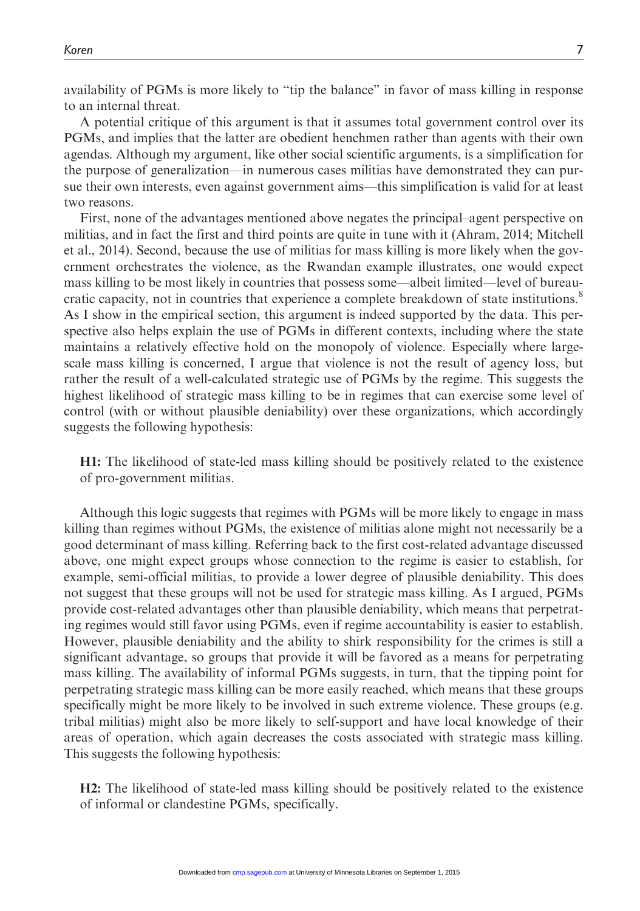availability of PGMs is more likely to "tip the balance" in favor of mass killing in response to an internal threat.

A potential critique of this argument is that it assumes total government control over its PGMs, and implies that the latter are obedient henchmen rather than agents with their own agendas. Although my argument, like other social scientific arguments, is a simplification for the purpose of generalization—in numerous cases militias have demonstrated they can pursue their own interests, even against government aims—this simplification is valid for at least two reasons.

First, none of the advantages mentioned above negates the principal–agent perspective on militias, and in fact the first and third points are quite in tune with it (Ahram, 2014; Mitchell et al., 2014). Second, because the use of militias for mass killing is more likely when the government orchestrates the violence, as the Rwandan example illustrates, one would expect mass killing to be most likely in countries that possess some—albeit limited—level of bureaucratic capacity, not in countries that experience a complete breakdown of state institutions.<sup>8</sup> As I show in the empirical section, this argument is indeed supported by the data. This perspective also helps explain the use of PGMs in different contexts, including where the state maintains a relatively effective hold on the monopoly of violence. Especially where largescale mass killing is concerned, I argue that violence is not the result of agency loss, but rather the result of a well-calculated strategic use of PGMs by the regime. This suggests the highest likelihood of strategic mass killing to be in regimes that can exercise some level of control (with or without plausible deniability) over these organizations, which accordingly suggests the following hypothesis:

H1: The likelihood of state-led mass killing should be positively related to the existence of pro-government militias.

Although this logic suggests that regimes with PGMs will be more likely to engage in mass killing than regimes without PGMs, the existence of militias alone might not necessarily be a good determinant of mass killing. Referring back to the first cost-related advantage discussed above, one might expect groups whose connection to the regime is easier to establish, for example, semi-official militias, to provide a lower degree of plausible deniability. This does not suggest that these groups will not be used for strategic mass killing. As I argued, PGMs provide cost-related advantages other than plausible deniability, which means that perpetrating regimes would still favor using PGMs, even if regime accountability is easier to establish. However, plausible deniability and the ability to shirk responsibility for the crimes is still a significant advantage, so groups that provide it will be favored as a means for perpetrating mass killing. The availability of informal PGMs suggests, in turn, that the tipping point for perpetrating strategic mass killing can be more easily reached, which means that these groups specifically might be more likely to be involved in such extreme violence. These groups (e.g. tribal militias) might also be more likely to self-support and have local knowledge of their areas of operation, which again decreases the costs associated with strategic mass killing. This suggests the following hypothesis:

H2: The likelihood of state-led mass killing should be positively related to the existence of informal or clandestine PGMs, specifically.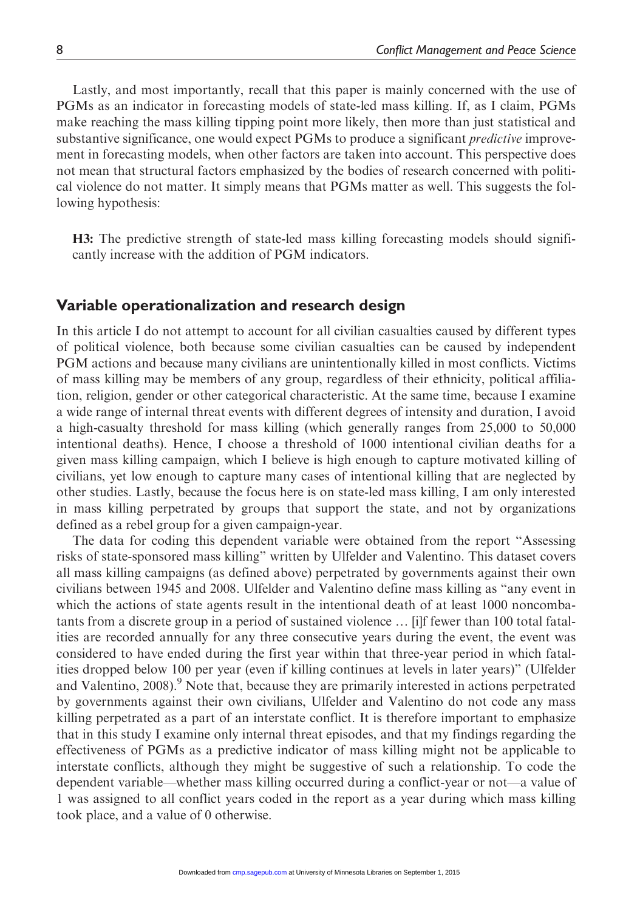Lastly, and most importantly, recall that this paper is mainly concerned with the use of PGMs as an indicator in forecasting models of state-led mass killing. If, as I claim, PGMs make reaching the mass killing tipping point more likely, then more than just statistical and substantive significance, one would expect PGMs to produce a significant *predictive* improvement in forecasting models, when other factors are taken into account. This perspective does not mean that structural factors emphasized by the bodies of research concerned with political violence do not matter. It simply means that PGMs matter as well. This suggests the following hypothesis:

H3: The predictive strength of state-led mass killing forecasting models should significantly increase with the addition of PGM indicators.

## Variable operationalization and research design

In this article I do not attempt to account for all civilian casualties caused by different types of political violence, both because some civilian casualties can be caused by independent PGM actions and because many civilians are unintentionally killed in most conflicts. Victims of mass killing may be members of any group, regardless of their ethnicity, political affiliation, religion, gender or other categorical characteristic. At the same time, because I examine a wide range of internal threat events with different degrees of intensity and duration, I avoid a high-casualty threshold for mass killing (which generally ranges from 25,000 to 50,000 intentional deaths). Hence, I choose a threshold of 1000 intentional civilian deaths for a given mass killing campaign, which I believe is high enough to capture motivated killing of civilians, yet low enough to capture many cases of intentional killing that are neglected by other studies. Lastly, because the focus here is on state-led mass killing, I am only interested in mass killing perpetrated by groups that support the state, and not by organizations defined as a rebel group for a given campaign-year.

The data for coding this dependent variable were obtained from the report ''Assessing risks of state-sponsored mass killing'' written by Ulfelder and Valentino. This dataset covers all mass killing campaigns (as defined above) perpetrated by governments against their own civilians between 1945 and 2008. Ulfelder and Valentino define mass killing as ''any event in which the actions of state agents result in the intentional death of at least 1000 noncombatants from a discrete group in a period of sustained violence . [i]f fewer than 100 total fatalities are recorded annually for any three consecutive years during the event, the event was considered to have ended during the first year within that three-year period in which fatalities dropped below 100 per year (even if killing continues at levels in later years)'' (Ulfelder and Valentino, 2008).<sup>9</sup> Note that, because they are primarily interested in actions perpetrated by governments against their own civilians, Ulfelder and Valentino do not code any mass killing perpetrated as a part of an interstate conflict. It is therefore important to emphasize that in this study I examine only internal threat episodes, and that my findings regarding the effectiveness of PGMs as a predictive indicator of mass killing might not be applicable to interstate conflicts, although they might be suggestive of such a relationship. To code the dependent variable—whether mass killing occurred during a conflict-year or not—a value of 1 was assigned to all conflict years coded in the report as a year during which mass killing took place, and a value of 0 otherwise.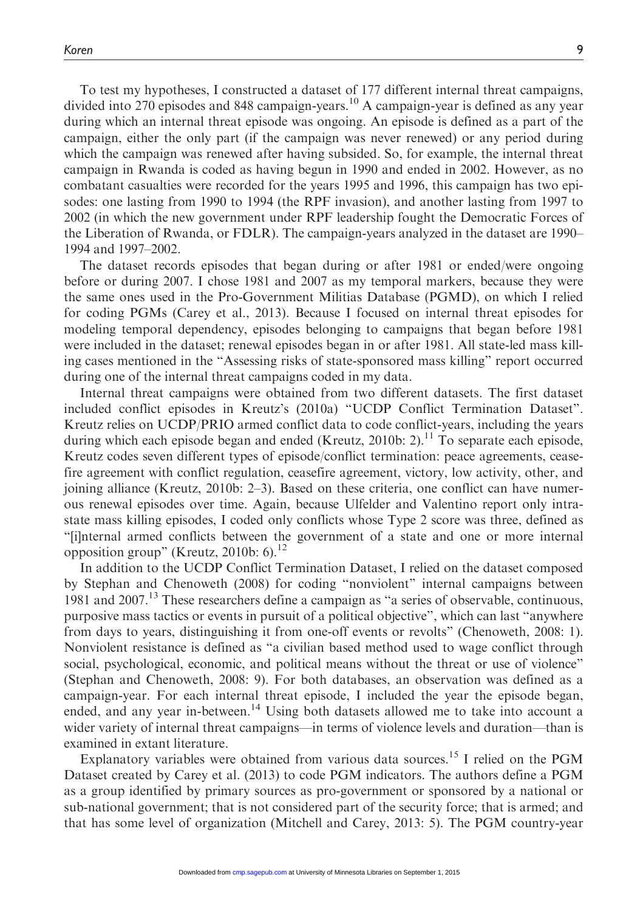To test my hypotheses, I constructed a dataset of 177 different internal threat campaigns, divided into 270 episodes and 848 campaign-years.<sup>10</sup> A campaign-year is defined as any year during which an internal threat episode was ongoing. An episode is defined as a part of the campaign, either the only part (if the campaign was never renewed) or any period during which the campaign was renewed after having subsided. So, for example, the internal threat campaign in Rwanda is coded as having begun in 1990 and ended in 2002. However, as no combatant casualties were recorded for the years 1995 and 1996, this campaign has two episodes: one lasting from 1990 to 1994 (the RPF invasion), and another lasting from 1997 to 2002 (in which the new government under RPF leadership fought the Democratic Forces of the Liberation of Rwanda, or FDLR). The campaign-years analyzed in the dataset are 1990– 1994 and 1997–2002.

The dataset records episodes that began during or after 1981 or ended/were ongoing before or during 2007. I chose 1981 and 2007 as my temporal markers, because they were the same ones used in the Pro-Government Militias Database (PGMD), on which I relied for coding PGMs (Carey et al., 2013). Because I focused on internal threat episodes for modeling temporal dependency, episodes belonging to campaigns that began before 1981 were included in the dataset; renewal episodes began in or after 1981. All state-led mass killing cases mentioned in the "Assessing risks of state-sponsored mass killing" report occurred during one of the internal threat campaigns coded in my data.

Internal threat campaigns were obtained from two different datasets. The first dataset included conflict episodes in Kreutz's (2010a) ''UCDP Conflict Termination Dataset''. Kreutz relies on UCDP/PRIO armed conflict data to code conflict-years, including the years during which each episode began and ended (Kreutz, 2010b: 2).<sup>11</sup> To separate each episode, Kreutz codes seven different types of episode/conflict termination: peace agreements, ceasefire agreement with conflict regulation, ceasefire agreement, victory, low activity, other, and joining alliance (Kreutz, 2010b: 2–3). Based on these criteria, one conflict can have numerous renewal episodes over time. Again, because Ulfelder and Valentino report only intrastate mass killing episodes, I coded only conflicts whose Type 2 score was three, defined as ''[i]nternal armed conflicts between the government of a state and one or more internal opposition group" (Kreutz, 2010b: 6).<sup>12</sup>

In addition to the UCDP Conflict Termination Dataset, I relied on the dataset composed by Stephan and Chenoweth (2008) for coding ''nonviolent'' internal campaigns between 1981 and 2007.<sup>13</sup> These researchers define a campaign as "a series of observable, continuous, purposive mass tactics or events in pursuit of a political objective'', which can last ''anywhere from days to years, distinguishing it from one-off events or revolts'' (Chenoweth, 2008: 1). Nonviolent resistance is defined as ''a civilian based method used to wage conflict through social, psychological, economic, and political means without the threat or use of violence'' (Stephan and Chenoweth, 2008: 9). For both databases, an observation was defined as a campaign-year. For each internal threat episode, I included the year the episode began, ended, and any year in-between.<sup>14</sup> Using both datasets allowed me to take into account a wider variety of internal threat campaigns—in terms of violence levels and duration—than is examined in extant literature.

Explanatory variables were obtained from various data sources.<sup>15</sup> I relied on the PGM Dataset created by Carey et al. (2013) to code PGM indicators. The authors define a PGM as a group identified by primary sources as pro-government or sponsored by a national or sub-national government; that is not considered part of the security force; that is armed; and that has some level of organization (Mitchell and Carey, 2013: 5). The PGM country-year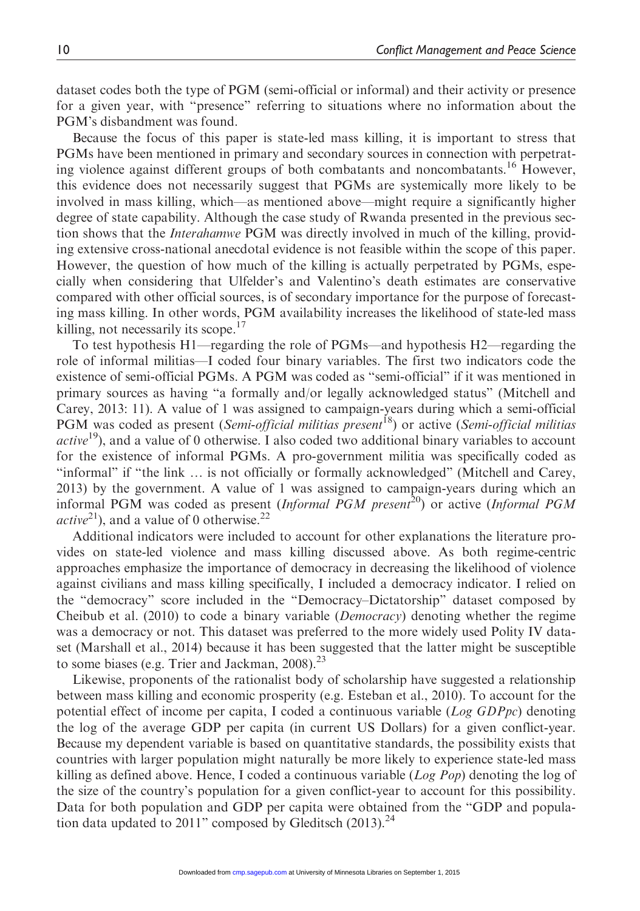dataset codes both the type of PGM (semi-official or informal) and their activity or presence for a given year, with ''presence'' referring to situations where no information about the PGM's disbandment was found.

Because the focus of this paper is state-led mass killing, it is important to stress that PGMs have been mentioned in primary and secondary sources in connection with perpetrating violence against different groups of both combatants and noncombatants.16 However, this evidence does not necessarily suggest that PGMs are systemically more likely to be involved in mass killing, which—as mentioned above—might require a significantly higher degree of state capability. Although the case study of Rwanda presented in the previous section shows that the Interahamwe PGM was directly involved in much of the killing, providing extensive cross-national anecdotal evidence is not feasible within the scope of this paper. However, the question of how much of the killing is actually perpetrated by PGMs, especially when considering that Ulfelder's and Valentino's death estimates are conservative compared with other official sources, is of secondary importance for the purpose of forecasting mass killing. In other words, PGM availability increases the likelihood of state-led mass killing, not necessarily its scope. $17$ 

To test hypothesis H1—regarding the role of PGMs—and hypothesis H2—regarding the role of informal militias—I coded four binary variables. The first two indicators code the existence of semi-official PGMs. A PGM was coded as ''semi-official'' if it was mentioned in primary sources as having ''a formally and/or legally acknowledged status'' (Mitchell and Carey, 2013: 11). A value of 1 was assigned to campaign-years during which a semi-official PGM was coded as present (Semi-official militias present<sup>18</sup>) or active (Semi-official militias active<sup>19</sup>), and a value of 0 otherwise. I also coded two additional binary variables to account for the existence of informal PGMs. A pro-government militia was specifically coded as ''informal'' if ''the link . is not officially or formally acknowledged'' (Mitchell and Carey, 2013) by the government. A value of 1 was assigned to campaign-years during which an informal PGM was coded as present (Informal PGM present<sup>20</sup>) or active (Informal PGM *active*<sup>21</sup>), and a value of 0 otherwise.<sup>22</sup>

Additional indicators were included to account for other explanations the literature provides on state-led violence and mass killing discussed above. As both regime-centric approaches emphasize the importance of democracy in decreasing the likelihood of violence against civilians and mass killing specifically, I included a democracy indicator. I relied on the ''democracy'' score included in the ''Democracy–Dictatorship'' dataset composed by Cheibub et al.  $(2010)$  to code a binary variable *(Democracy)* denoting whether the regime was a democracy or not. This dataset was preferred to the more widely used Polity IV dataset (Marshall et al., 2014) because it has been suggested that the latter might be susceptible to some biases (e.g. Trier and Jackman,  $2008$ ).<sup>23</sup>

Likewise, proponents of the rationalist body of scholarship have suggested a relationship between mass killing and economic prosperity (e.g. Esteban et al., 2010). To account for the potential effect of income per capita, I coded a continuous variable (Log GDPpc) denoting the log of the average GDP per capita (in current US Dollars) for a given conflict-year. Because my dependent variable is based on quantitative standards, the possibility exists that countries with larger population might naturally be more likely to experience state-led mass killing as defined above. Hence, I coded a continuous variable ( $Log Pop$ ) denoting the log of the size of the country's population for a given conflict-year to account for this possibility. Data for both population and GDP per capita were obtained from the "GDP and population data updated to 2011" composed by Gleditsch  $(2013).^{24}$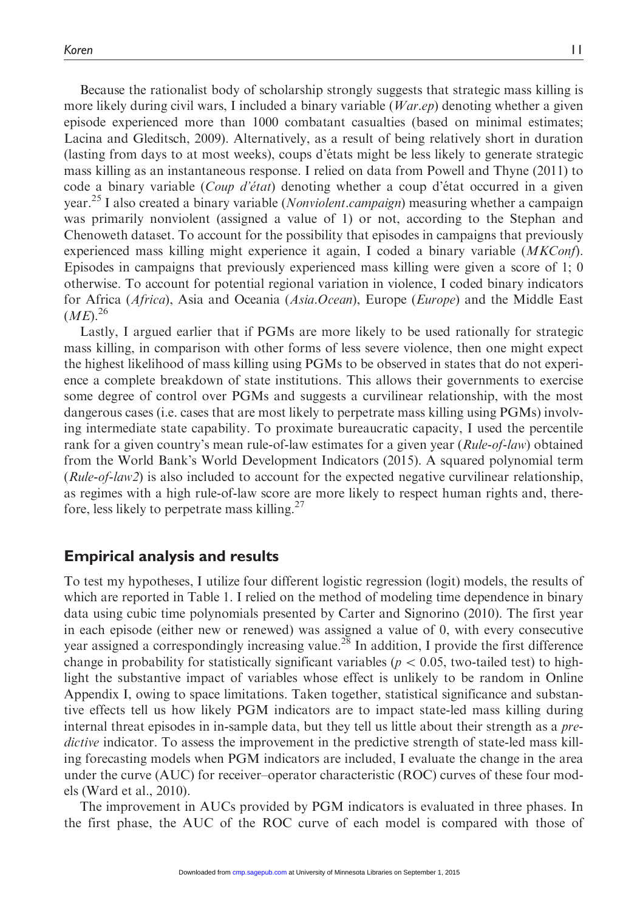Because the rationalist body of scholarship strongly suggests that strategic mass killing is more likely during civil wars, I included a binary variable (*War.ep*) denoting whether a given episode experienced more than 1000 combatant casualties (based on minimal estimates; Lacina and Gleditsch, 2009). Alternatively, as a result of being relatively short in duration (lasting from days to at most weeks), coups d'e´tats might be less likely to generate strategic mass killing as an instantaneous response. I relied on data from Powell and Thyne (2011) to code a binary variable (*Coup d'état*) denoting whether a coup d'état occurred in a given year.<sup>25</sup> I also created a binary variable (*Nonviolent.campaign*) measuring whether a campaign was primarily nonviolent (assigned a value of 1) or not, according to the Stephan and Chenoweth dataset. To account for the possibility that episodes in campaigns that previously experienced mass killing might experience it again, I coded a binary variable (MKConf). Episodes in campaigns that previously experienced mass killing were given a score of 1; 0 otherwise. To account for potential regional variation in violence, I coded binary indicators for Africa (Africa), Asia and Oceania (Asia.Ocean), Europe (Europe) and the Middle East  $(ME)^{26}$ 

Lastly, I argued earlier that if PGMs are more likely to be used rationally for strategic mass killing, in comparison with other forms of less severe violence, then one might expect the highest likelihood of mass killing using PGMs to be observed in states that do not experience a complete breakdown of state institutions. This allows their governments to exercise some degree of control over PGMs and suggests a curvilinear relationship, with the most dangerous cases (i.e. cases that are most likely to perpetrate mass killing using PGMs) involving intermediate state capability. To proximate bureaucratic capacity, I used the percentile rank for a given country's mean rule-of-law estimates for a given year (Rule-of-law) obtained from the World Bank's World Development Indicators (2015). A squared polynomial term (Rule-of-law2) is also included to account for the expected negative curvilinear relationship, as regimes with a high rule-of-law score are more likely to respect human rights and, therefore, less likely to perpetrate mass killing.27

## Empirical analysis and results

To test my hypotheses, I utilize four different logistic regression (logit) models, the results of which are reported in Table 1. I relied on the method of modeling time dependence in binary data using cubic time polynomials presented by Carter and Signorino (2010). The first year in each episode (either new or renewed) was assigned a value of 0, with every consecutive year assigned a correspondingly increasing value.<sup>28</sup> In addition, I provide the first difference change in probability for statistically significant variables ( $p \lt 0.05$ , two-tailed test) to highlight the substantive impact of variables whose effect is unlikely to be random in Online Appendix I, owing to space limitations. Taken together, statistical significance and substantive effects tell us how likely PGM indicators are to impact state-led mass killing during internal threat episodes in in-sample data, but they tell us little about their strength as a predictive indicator. To assess the improvement in the predictive strength of state-led mass killing forecasting models when PGM indicators are included, I evaluate the change in the area under the curve (AUC) for receiver–operator characteristic (ROC) curves of these four models (Ward et al., 2010).

The improvement in AUCs provided by PGM indicators is evaluated in three phases. In the first phase, the AUC of the ROC curve of each model is compared with those of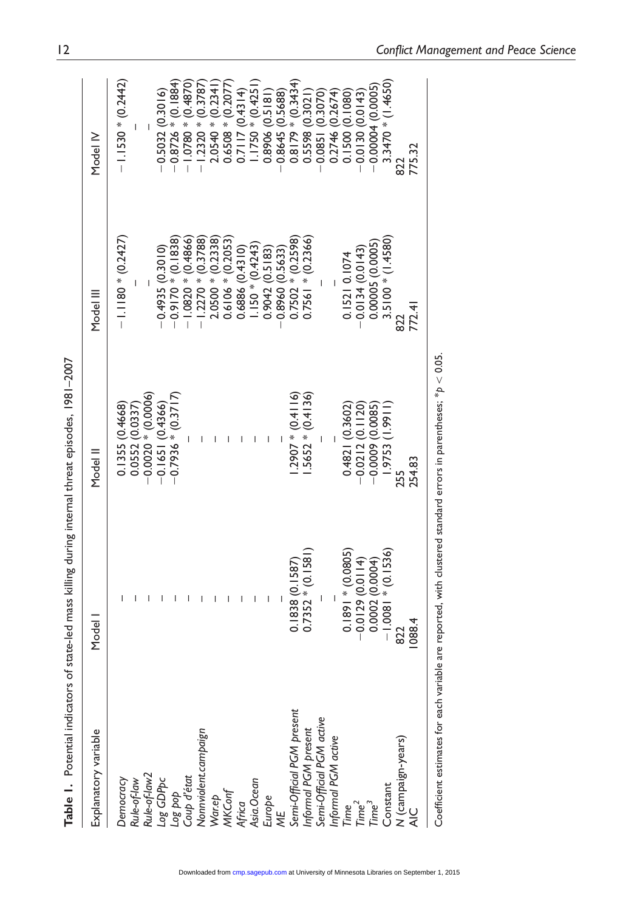| Table 1. Potential indicators of                                                                            |                                                                                                                                  | state-led mass killing during internal threat episodes, 1981-2007    |                                         |                                         |
|-------------------------------------------------------------------------------------------------------------|----------------------------------------------------------------------------------------------------------------------------------|----------------------------------------------------------------------|-----------------------------------------|-----------------------------------------|
| Explanatory variable                                                                                        | Model                                                                                                                            | Model II                                                             | Model III                               | Model IV                                |
| Democracy                                                                                                   |                                                                                                                                  | 0.1355 (0.4668)                                                      | $-1.1180 * (0.2427)$                    | $-1.1530 * (0.2442)$                    |
|                                                                                                             |                                                                                                                                  | 0.0552(0.0337)                                                       |                                         |                                         |
|                                                                                                             |                                                                                                                                  | $-0.0020 * (0.0006)$                                                 |                                         |                                         |
| Rule-of-law<br>Log GDPpc<br>Log GDPpc<br>Log pop<br>Coup d'état<br>Nonrviolent.campaign<br>War.ep<br>WKConf |                                                                                                                                  |                                                                      |                                         |                                         |
|                                                                                                             |                                                                                                                                  | $\begin{array}{l} -0.1651~(0.4366) \ -0.7936~*~(0.3717) \end{array}$ | $-0.4935(0.3010)$<br>$-0.9170*(0.1838)$ | $-0.5032(0.3016)$<br>$-0.8726*(0.1884)$ |
|                                                                                                             |                                                                                                                                  |                                                                      | $-1.0820 * (0.4866)$                    | $-1.0780 * 00.4870$                     |
|                                                                                                             |                                                                                                                                  |                                                                      | $-1.2270 * (0.3788)$                    | $-1.2320 * 0.3787$                      |
|                                                                                                             |                                                                                                                                  |                                                                      | 2.0500 * (0.2338)                       | 2.0540 * (0.2341                        |
|                                                                                                             |                                                                                                                                  |                                                                      | $0.6106 * (0.2053)$                     | $0.6508 * (0.2077)$                     |
| Africa                                                                                                      |                                                                                                                                  |                                                                      | 0.6886 (0.4310)                         | 0.7117(0.4314)                          |
| Asia.Ocean<br>Europe<br>ME                                                                                  |                                                                                                                                  |                                                                      | $1.150 * (0.4243)$                      | $1.1750 * (0.4251)$                     |
|                                                                                                             |                                                                                                                                  |                                                                      | 0.9042 (0.5183)                         | 0.8906 (0.5181)                         |
|                                                                                                             |                                                                                                                                  |                                                                      | $-0.8960(0.5633)$                       |                                         |
|                                                                                                             | 0.1838 (0.1587)                                                                                                                  | $(91116)$ * $(0.4116)$                                               | $0.7502 * (0.2598)$                     | $-0.8645(0.5688)$<br>0.8179 * (0.3434)  |
| Semi-Official PGM present<br>Informal PGM present<br>Semi-Official PGM active<br>Informal PGM active        | $0.7352 * (0.1581)$                                                                                                              | $.5652 * (0.4136)$                                                   | $0.7561 * (0.2366)$                     | 0.5598 (0.3021                          |
|                                                                                                             |                                                                                                                                  |                                                                      |                                         | 0.0851 (0.3070)                         |
|                                                                                                             |                                                                                                                                  |                                                                      |                                         | 0.2746 (0.2674)                         |
|                                                                                                             | $0.1891 * (0.0805)$                                                                                                              | 0.4821 (0.3602)                                                      | 0.1521 0.1074                           | 0.1500 (0.1080)                         |
|                                                                                                             | $-0.0129(0.0114)$                                                                                                                | $-0.0212(0.1120)$                                                    | $-0.0134(0.0143)$                       | $-0.0130(0.0143)$                       |
| $\begin{array}{l} \bar{I} \bar{m} e^2 \\ \bar{I} \bar{m} e^2 \\ \bar{I} \bar{m} e^3 \end{array}$            | 0.0002(0.0004)                                                                                                                   | $-0.0009(0.0085)$                                                    | 0.00005 (0.0005)                        | $-0.00004(0.0005)$                      |
|                                                                                                             | $-1.0081 * (0.1536)$                                                                                                             | 1.9753 (1.9911)                                                      | $3.5100 * (1.4580)$                     | $3.3470 * (1.4650)$                     |
| Constant<br>N (campaign-years)<br>AIC                                                                       | 822                                                                                                                              | 255                                                                  | 822                                     | 822                                     |
|                                                                                                             | 1088.4                                                                                                                           | 254.83                                                               | 772.41                                  | 775.32                                  |
|                                                                                                             | Coefficient estimates for each variable are reported, with clustered standard errors in parentheses; $*$ $\mathfrak{p} < 0.05$ . |                                                                      |                                         |                                         |

| i                                                                 |
|-------------------------------------------------------------------|
| ļ                                                                 |
|                                                                   |
| 1981_7007                                                         |
|                                                                   |
| )<br> }                                                           |
|                                                                   |
|                                                                   |
|                                                                   |
|                                                                   |
|                                                                   |
| ミリニミ                                                              |
|                                                                   |
|                                                                   |
|                                                                   |
|                                                                   |
| )                                                                 |
|                                                                   |
|                                                                   |
| ١                                                                 |
|                                                                   |
|                                                                   |
|                                                                   |
| $\frac{3}{2}$                                                     |
| ֧֪֪֪֚֞֟֓֝֝֝<br>֧֧֧֪֪֧֓֝֓֝֟֓֟֓֟֓֟֓֟֓֟֓֟֓֟֓֟֓֟֓֟֓֟֓֝֬֝֟֝֬֝֟֝֬֝֬֝֓֝֬ |
|                                                                   |
|                                                                   |
|                                                                   |
|                                                                   |
|                                                                   |
|                                                                   |
|                                                                   |
|                                                                   |
| l                                                                 |
| $\ddot{\phantom{a}}$                                              |
|                                                                   |
|                                                                   |
| )<br>)<br>-                                                       |
|                                                                   |
|                                                                   |
|                                                                   |
| a h a<br>ì                                                        |
|                                                                   |
| I                                                                 |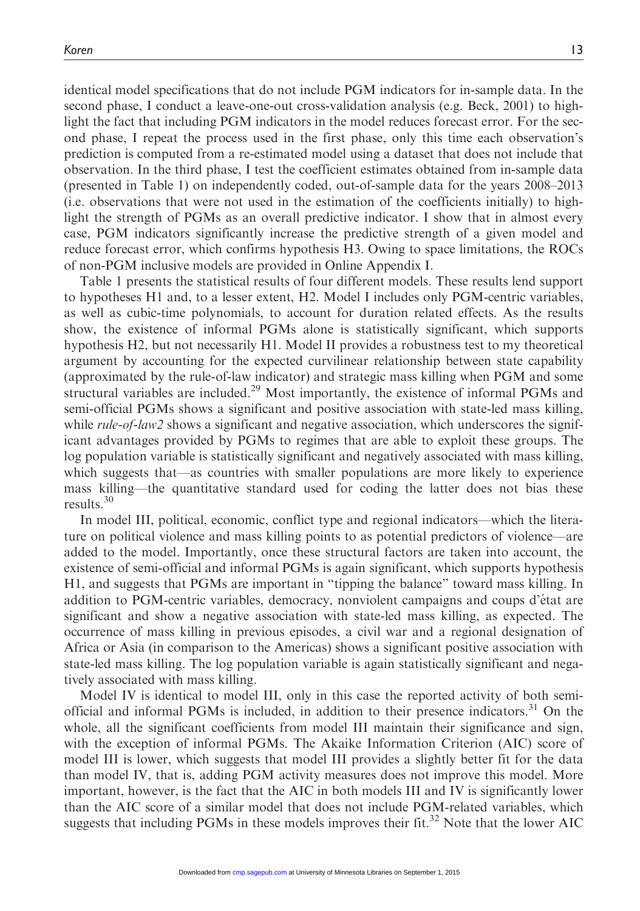identical model specifications that do not include PGM indicators for in-sample data. In the second phase, I conduct a leave-one-out cross-validation analysis (e.g. Beck, 2001) to highlight the fact that including PGM indicators in the model reduces forecast error. For the second phase, I repeat the process used in the first phase, only this time each observation's prediction is computed from a re-estimated model using a dataset that does not include that observation. In the third phase, I test the coefficient estimates obtained from in-sample data (presented in Table 1) on independently coded, out-of-sample data for the years 2008–2013 (i.e. observations that were not used in the estimation of the coefficients initially) to highlight the strength of PGMs as an overall predictive indicator. I show that in almost every case, PGM indicators significantly increase the predictive strength of a given model and reduce forecast error, which confirms hypothesis H3. Owing to space limitations, the ROCs of non-PGM inclusive models are provided in Online Appendix I.

Table 1 presents the statistical results of four different models. These results lend support to hypotheses H1 and, to a lesser extent, H2. Model I includes only PGM-centric variables, as well as cubic-time polynomials, to account for duration related effects. As the results show, the existence of informal PGMs alone is statistically significant, which supports hypothesis H2, but not necessarily H1. Model II provides a robustness test to my theoretical argument by accounting for the expected curvilinear relationship between state capability (approximated by the rule-of-law indicator) and strategic mass killing when PGM and some structural variables are included.<sup>29</sup> Most importantly, the existence of informal PGMs and semi-official PGMs shows a significant and positive association with state-led mass killing, while *rule-of-law2* shows a significant and negative association, which underscores the significant advantages provided by PGMs to regimes that are able to exploit these groups. The log population variable is statistically significant and negatively associated with mass killing, which suggests that—as countries with smaller populations are more likely to experience mass killing—the quantitative standard used for coding the latter does not bias these results.30

In model III, political, economic, conflict type and regional indicators—which the literature on political violence and mass killing points to as potential predictors of violence—are added to the model. Importantly, once these structural factors are taken into account, the existence of semi-official and informal PGMs is again significant, which supports hypothesis H1, and suggests that PGMs are important in ''tipping the balance'' toward mass killing. In addition to PGM-centric variables, democracy, nonviolent campaigns and coups d'état are significant and show a negative association with state-led mass killing, as expected. The occurrence of mass killing in previous episodes, a civil war and a regional designation of Africa or Asia (in comparison to the Americas) shows a significant positive association with state-led mass killing. The log population variable is again statistically significant and negatively associated with mass killing.

Model IV is identical to model III, only in this case the reported activity of both semiofficial and informal PGMs is included, in addition to their presence indicators.<sup>31</sup> On the whole, all the significant coefficients from model III maintain their significance and sign, with the exception of informal PGMs. The Akaike Information Criterion (AIC) score of model III is lower, which suggests that model III provides a slightly better fit for the data than model IV, that is, adding PGM activity measures does not improve this model. More important, however, is the fact that the AIC in both models III and IV is significantly lower than the AIC score of a similar model that does not include PGM-related variables, which suggests that including PGMs in these models improves their fit.<sup>32</sup> Note that the lower AIC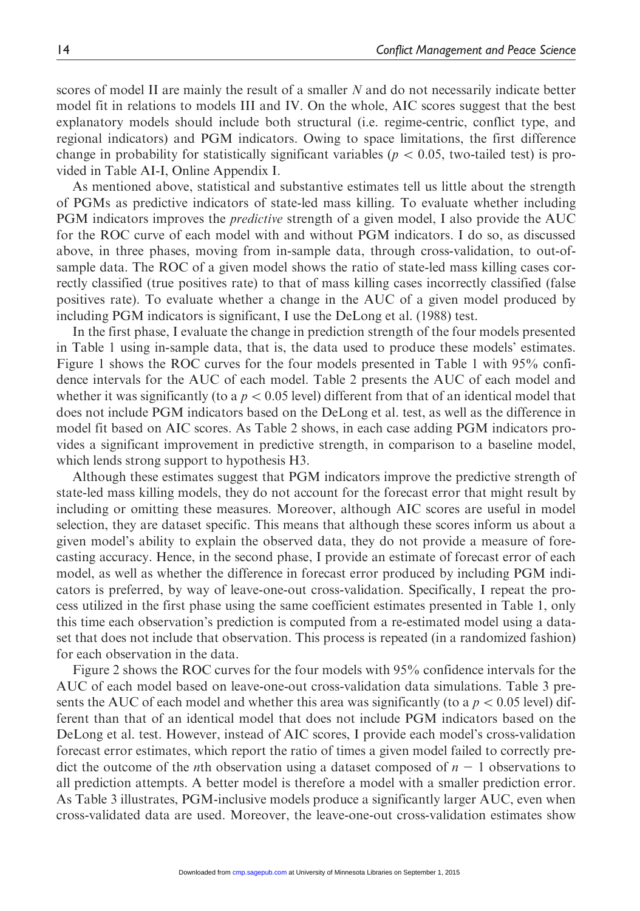scores of model II are mainly the result of a smaller N and do not necessarily indicate better model fit in relations to models III and IV. On the whole, AIC scores suggest that the best explanatory models should include both structural (i.e. regime-centric, conflict type, and regional indicators) and PGM indicators. Owing to space limitations, the first difference change in probability for statistically significant variables ( $p < 0.05$ , two-tailed test) is provided in Table AI-I, Online Appendix I.

As mentioned above, statistical and substantive estimates tell us little about the strength of PGMs as predictive indicators of state-led mass killing. To evaluate whether including PGM indicators improves the predictive strength of a given model, I also provide the AUC for the ROC curve of each model with and without PGM indicators. I do so, as discussed above, in three phases, moving from in-sample data, through cross-validation, to out-ofsample data. The ROC of a given model shows the ratio of state-led mass killing cases correctly classified (true positives rate) to that of mass killing cases incorrectly classified (false positives rate). To evaluate whether a change in the AUC of a given model produced by including PGM indicators is significant, I use the DeLong et al. (1988) test.

In the first phase, I evaluate the change in prediction strength of the four models presented in Table 1 using in-sample data, that is, the data used to produce these models' estimates. Figure 1 shows the ROC curves for the four models presented in Table 1 with 95% confidence intervals for the AUC of each model. Table 2 presents the AUC of each model and whether it was significantly (to a  $p < 0.05$  level) different from that of an identical model that does not include PGM indicators based on the DeLong et al. test, as well as the difference in model fit based on AIC scores. As Table 2 shows, in each case adding PGM indicators provides a significant improvement in predictive strength, in comparison to a baseline model, which lends strong support to hypothesis H3.

Although these estimates suggest that PGM indicators improve the predictive strength of state-led mass killing models, they do not account for the forecast error that might result by including or omitting these measures. Moreover, although AIC scores are useful in model selection, they are dataset specific. This means that although these scores inform us about a given model's ability to explain the observed data, they do not provide a measure of forecasting accuracy. Hence, in the second phase, I provide an estimate of forecast error of each model, as well as whether the difference in forecast error produced by including PGM indicators is preferred, by way of leave-one-out cross-validation. Specifically, I repeat the process utilized in the first phase using the same coefficient estimates presented in Table 1, only this time each observation's prediction is computed from a re-estimated model using a dataset that does not include that observation. This process is repeated (in a randomized fashion) for each observation in the data.

Figure 2 shows the ROC curves for the four models with 95% confidence intervals for the AUC of each model based on leave-one-out cross-validation data simulations. Table 3 presents the AUC of each model and whether this area was significantly (to a  $p < 0.05$  level) different than that of an identical model that does not include PGM indicators based on the DeLong et al. test. However, instead of AIC scores, I provide each model's cross-validation forecast error estimates, which report the ratio of times a given model failed to correctly predict the outcome of the *n*th observation using a dataset composed of  $n - 1$  observations to all prediction attempts. A better model is therefore a model with a smaller prediction error. As Table 3 illustrates, PGM-inclusive models produce a significantly larger AUC, even when cross-validated data are used. Moreover, the leave-one-out cross-validation estimates show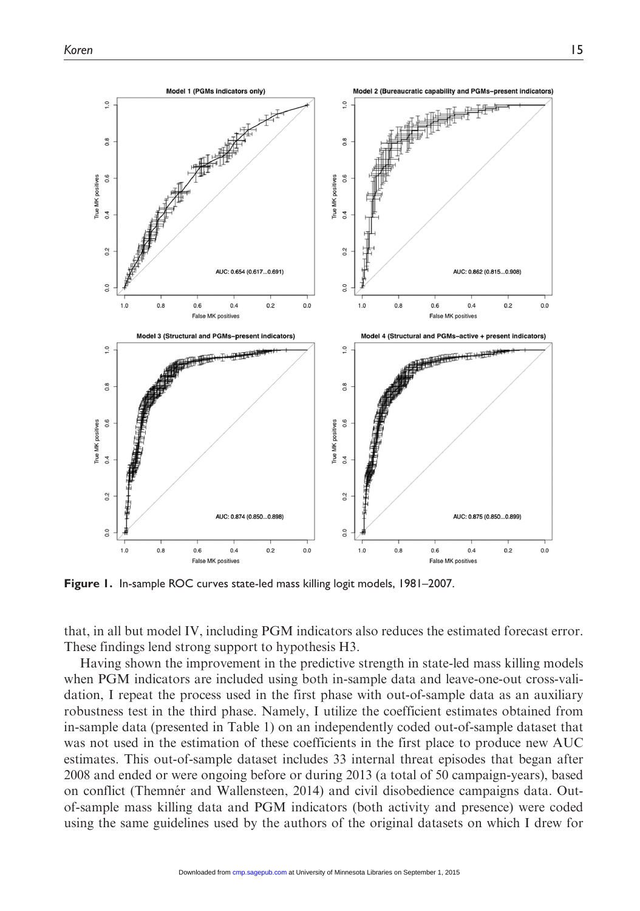

Figure 1. In-sample ROC curves state-led mass killing logit models, 1981–2007.

that, in all but model IV, including PGM indicators also reduces the estimated forecast error. These findings lend strong support to hypothesis H3.

Having shown the improvement in the predictive strength in state-led mass killing models when PGM indicators are included using both in-sample data and leave-one-out cross-validation, I repeat the process used in the first phase with out-of-sample data as an auxiliary robustness test in the third phase. Namely, I utilize the coefficient estimates obtained from in-sample data (presented in Table 1) on an independently coded out-of-sample dataset that was not used in the estimation of these coefficients in the first place to produce new AUC estimates. This out-of-sample dataset includes 33 internal threat episodes that began after 2008 and ended or were ongoing before or during 2013 (a total of 50 campaign-years), based on conflict (Themner and Wallensteen, 2014) and civil disobedience campaigns data. Outof-sample mass killing data and PGM indicators (both activity and presence) were coded using the same guidelines used by the authors of the original datasets on which I drew for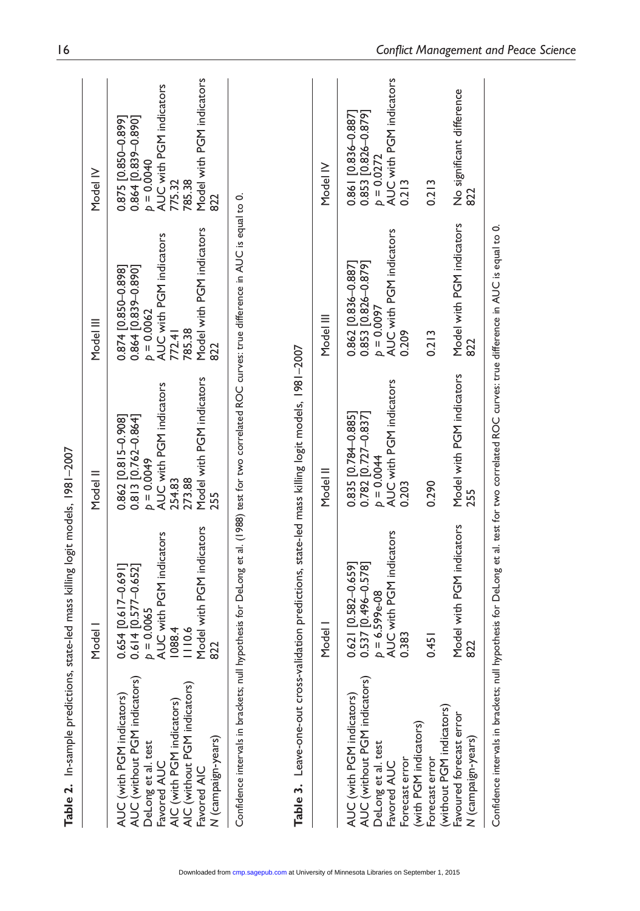| Table 2. In-sample predictions,                                                                                                                                                                                                                             | state-led mass killing logit models, 1981-2007                                                                                               |                                                                                                                                        |                                                                                                                                               |                                                                                                                                                 |
|-------------------------------------------------------------------------------------------------------------------------------------------------------------------------------------------------------------------------------------------------------------|----------------------------------------------------------------------------------------------------------------------------------------------|----------------------------------------------------------------------------------------------------------------------------------------|-----------------------------------------------------------------------------------------------------------------------------------------------|-------------------------------------------------------------------------------------------------------------------------------------------------|
|                                                                                                                                                                                                                                                             | Model I                                                                                                                                      | Model II                                                                                                                               | Model III                                                                                                                                     | Model IV                                                                                                                                        |
| AUC (without PGM indicators)<br>Favored AUC<br>AIC (with PGM indicators)<br>AIC (without PGM indicators)<br>AUC (with PGM indicators)<br>N (campaign-years)<br>DeLong et al. test<br>Favored AIC                                                            | Model with PGM indicators<br>AUC with PGM indicators<br>0.654 [0.617-0.691]<br>0.614 [0.577-0.652]<br>$p = 0.0065$<br>1088.4<br>110.6<br>822 | Model with PGM indicators<br>AUC with PGM indicators<br>0.813 [0.762-0.864]<br>0.862 [0.815-0.908]<br>$p = 0.0049$<br>273.88<br>254.83 | Model with PGM indicators<br>AUC with PGM indicators<br>0.864 [0.839-0.890]<br>0.874 [0.850-0.898]<br>$p = 0.0062$<br>785.38<br>772.41<br>822 | Model with PGM indicators<br>AUC with PGM indicators<br>$0.864$ [0.839-0.890]<br>$p = 0.0040$<br>0.875 [0.850-0.899]<br>785.38<br>775.32<br>822 |
| Confidence intervals in brackets, null hypothesis for DeLong et al. (1988) test for two correlated ROC curves: true difference in AUC is equal to 0.<br>Table 3. Leave-one-out cross-validation predictions, state-led mass killing logit models, 1981-2007 |                                                                                                                                              |                                                                                                                                        |                                                                                                                                               |                                                                                                                                                 |
|                                                                                                                                                                                                                                                             | Model I                                                                                                                                      | Model II                                                                                                                               | Model III                                                                                                                                     | Model IV                                                                                                                                        |
| AUC (with PGM indicators)<br>AUC (without PGM indicators)<br>(with PGM indicators)<br>DeLong et al. test<br>Favored AUC<br>Forecast error                                                                                                                   | AUC with PGM indicators<br>0.537 [0.496-0.578]<br>0.621 [0.582-0.659]<br>$p = 6.599e-08$<br>0.383                                            | AUC with PGM indicators<br>0.835 [0.784–0.885]<br>0.782 [0.727–0.837]<br>$p = 0.0044$<br>0.203                                         | AUC with PGM indicators<br>0.853 [0.826-0.879]<br>$0.862$ [0.836-0.887]<br>$p = 0.0097$<br>0.209                                              | AUC with PGM indicators<br>0.213<br>0.853 [0.826-0.879]<br>0.861 [0.836-0.887]<br>$p = 0.0272$                                                  |
| (without PGM indicators)<br>Favoured forecast error<br>N (campaign-years)<br>Forecast error                                                                                                                                                                 | Model with PGM indicators<br>0.451<br>822                                                                                                    | Model with PGM indicators<br>0.290<br>255                                                                                              | Model with PGM indicators<br>0.213<br>822                                                                                                     | No significant difference<br>0.213<br>822                                                                                                       |

Downloaded from [cmp.sagepub.com](http://cmp.sagepub.com/) at University of Minnesota Libraries on September 1, 2015

Confidence intervals in brackets; null hypothesis for DeLong et al. test for two correlated ROC curves: true difference in AUC is equal to 0.

Confidence intervals in brackets; null hypothesis for DeLong et al. test for two correlated ROC curves: true difference in AUC is equal to 0.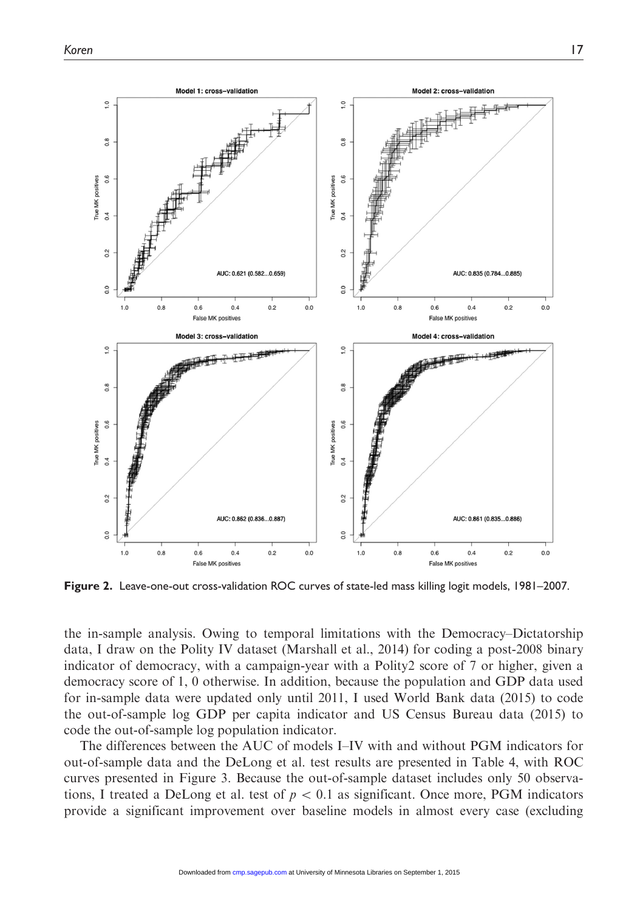

Figure 2. Leave-one-out cross-validation ROC curves of state-led mass killing logit models, 1981–2007.

the in-sample analysis. Owing to temporal limitations with the Democracy–Dictatorship data, I draw on the Polity IV dataset (Marshall et al., 2014) for coding a post-2008 binary indicator of democracy, with a campaign-year with a Polity2 score of 7 or higher, given a democracy score of 1, 0 otherwise. In addition, because the population and GDP data used for in-sample data were updated only until 2011, I used World Bank data (2015) to code the out-of-sample log GDP per capita indicator and US Census Bureau data (2015) to code the out-of-sample log population indicator.

The differences between the AUC of models I–IV with and without PGM indicators for out-of-sample data and the DeLong et al. test results are presented in Table 4, with ROC curves presented in Figure 3. Because the out-of-sample dataset includes only 50 observations, I treated a DeLong et al. test of  $p \, < 0.1$  as significant. Once more, PGM indicators provide a significant improvement over baseline models in almost every case (excluding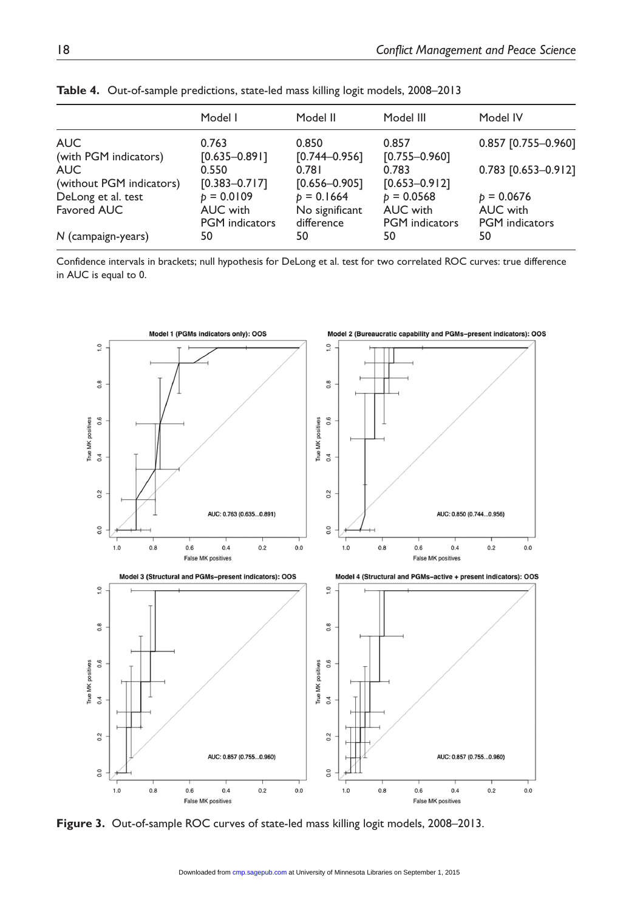|                          | Model I               | Model II          | Model III             | Model IV              |
|--------------------------|-----------------------|-------------------|-----------------------|-----------------------|
| <b>AUC</b>               | 0.763                 | 0.850             | 0.857                 | 0.857 [0.755-0.960]   |
| (with PGM indicators)    | $[0.635 - 0.891]$     | $[0.744 - 0.956]$ | $[0.755 - 0.960]$     |                       |
| <b>AUC</b>               | 0.550                 | 0.781             | 0.783                 | 0.783 [0.653-0.912]   |
| (without PGM indicators) | $[0.383 - 0.717]$     | $[0.656 - 0.905]$ | $[0.653 - 0.912]$     |                       |
| DeLong et al. test       | $p = 0.0109$          | $p = 0.1664$      | $p = 0.0568$          | $p = 0.0676$          |
| Favored AUC              | AUC with              | No significant    | AUC with              | AUC with              |
|                          | <b>PGM</b> indicators | difference        | <b>PGM</b> indicators | <b>PGM</b> indicators |
| N (campaign-years)       | 50                    | 50                | 50                    | 50                    |

Table 4. Out-of-sample predictions, state-led mass killing logit models, 2008–2013

Confidence intervals in brackets; null hypothesis for DeLong et al. test for two correlated ROC curves: true difference in AUC is equal to 0.



Figure 3. Out-of-sample ROC curves of state-led mass killing logit models, 2008–2013.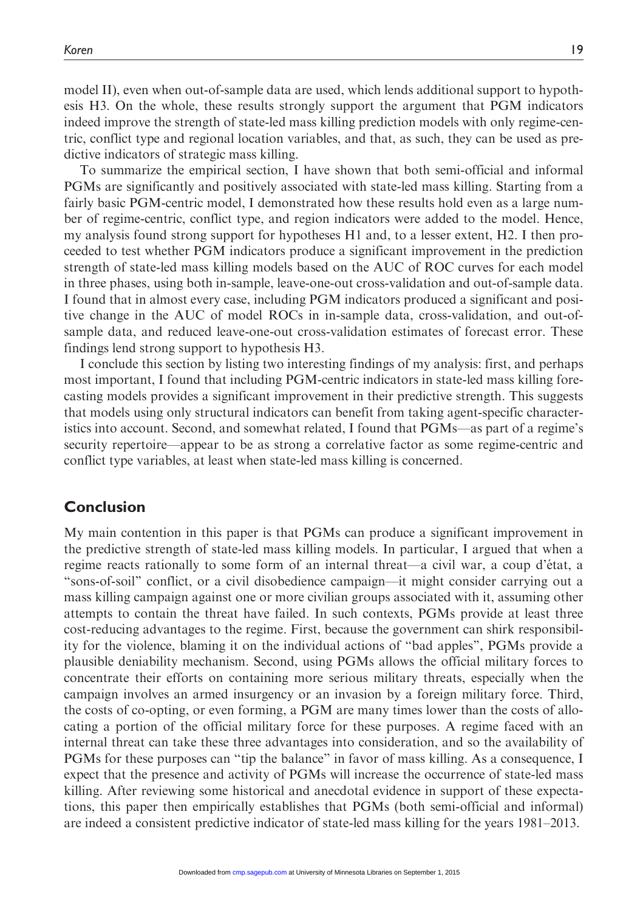model II), even when out-of-sample data are used, which lends additional support to hypothesis H3. On the whole, these results strongly support the argument that PGM indicators indeed improve the strength of state-led mass killing prediction models with only regime-centric, conflict type and regional location variables, and that, as such, they can be used as predictive indicators of strategic mass killing.

To summarize the empirical section, I have shown that both semi-official and informal PGMs are significantly and positively associated with state-led mass killing. Starting from a fairly basic PGM-centric model, I demonstrated how these results hold even as a large number of regime-centric, conflict type, and region indicators were added to the model. Hence, my analysis found strong support for hypotheses H1 and, to a lesser extent, H2. I then proceeded to test whether PGM indicators produce a significant improvement in the prediction strength of state-led mass killing models based on the AUC of ROC curves for each model in three phases, using both in-sample, leave-one-out cross-validation and out-of-sample data. I found that in almost every case, including PGM indicators produced a significant and positive change in the AUC of model ROCs in in-sample data, cross-validation, and out-ofsample data, and reduced leave-one-out cross-validation estimates of forecast error. These findings lend strong support to hypothesis H3.

I conclude this section by listing two interesting findings of my analysis: first, and perhaps most important, I found that including PGM-centric indicators in state-led mass killing forecasting models provides a significant improvement in their predictive strength. This suggests that models using only structural indicators can benefit from taking agent-specific characteristics into account. Second, and somewhat related, I found that PGMs—as part of a regime's security repertoire—appear to be as strong a correlative factor as some regime-centric and conflict type variables, at least when state-led mass killing is concerned.

## Conclusion

My main contention in this paper is that PGMs can produce a significant improvement in the predictive strength of state-led mass killing models. In particular, I argued that when a regime reacts rationally to some form of an internal threat—a civil war, a coup d'état, a ''sons-of-soil'' conflict, or a civil disobedience campaign—it might consider carrying out a mass killing campaign against one or more civilian groups associated with it, assuming other attempts to contain the threat have failed. In such contexts, PGMs provide at least three cost-reducing advantages to the regime. First, because the government can shirk responsibility for the violence, blaming it on the individual actions of ''bad apples'', PGMs provide a plausible deniability mechanism. Second, using PGMs allows the official military forces to concentrate their efforts on containing more serious military threats, especially when the campaign involves an armed insurgency or an invasion by a foreign military force. Third, the costs of co-opting, or even forming, a PGM are many times lower than the costs of allocating a portion of the official military force for these purposes. A regime faced with an internal threat can take these three advantages into consideration, and so the availability of PGMs for these purposes can ''tip the balance'' in favor of mass killing. As a consequence, I expect that the presence and activity of PGMs will increase the occurrence of state-led mass killing. After reviewing some historical and anecdotal evidence in support of these expectations, this paper then empirically establishes that PGMs (both semi-official and informal) are indeed a consistent predictive indicator of state-led mass killing for the years 1981–2013.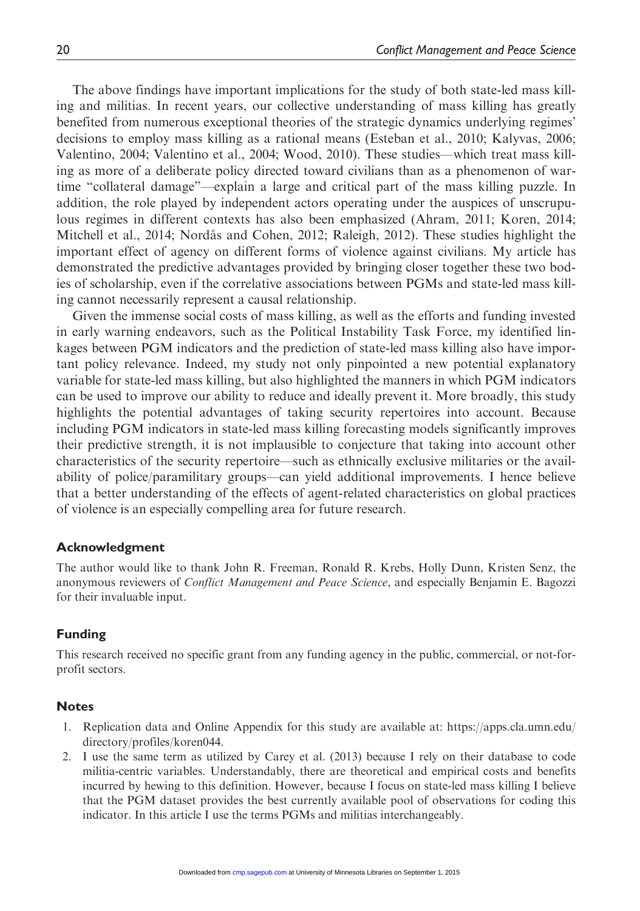The above findings have important implications for the study of both state-led mass killing and militias. In recent years, our collective understanding of mass killing has greatly benefited from numerous exceptional theories of the strategic dynamics underlying regimes' decisions to employ mass killing as a rational means (Esteban et al., 2010; Kalyvas, 2006; Valentino, 2004; Valentino et al., 2004; Wood, 2010). These studies—which treat mass killing as more of a deliberate policy directed toward civilians than as a phenomenon of wartime ''collateral damage''—explain a large and critical part of the mass killing puzzle. In addition, the role played by independent actors operating under the auspices of unscrupulous regimes in different contexts has also been emphasized (Ahram, 2011; Koren, 2014; Mitchell et al., 2014; Nordås and Cohen, 2012; Raleigh, 2012). These studies highlight the important effect of agency on different forms of violence against civilians. My article has demonstrated the predictive advantages provided by bringing closer together these two bodies of scholarship, even if the correlative associations between PGMs and state-led mass killing cannot necessarily represent a causal relationship.

Given the immense social costs of mass killing, as well as the efforts and funding invested in early warning endeavors, such as the Political Instability Task Force, my identified linkages between PGM indicators and the prediction of state-led mass killing also have important policy relevance. Indeed, my study not only pinpointed a new potential explanatory variable for state-led mass killing, but also highlighted the manners in which PGM indicators can be used to improve our ability to reduce and ideally prevent it. More broadly, this study highlights the potential advantages of taking security repertoires into account. Because including PGM indicators in state-led mass killing forecasting models significantly improves their predictive strength, it is not implausible to conjecture that taking into account other characteristics of the security repertoire—such as ethnically exclusive militaries or the availability of police/paramilitary groups—can yield additional improvements. I hence believe that a better understanding of the effects of agent-related characteristics on global practices of violence is an especially compelling area for future research.

#### Acknowledgment

The author would like to thank John R. Freeman, Ronald R. Krebs, Holly Dunn, Kristen Senz, the anonymous reviewers of Conflict Management and Peace Science, and especially Benjamin E. Bagozzi for their invaluable input.

#### Funding

This research received no specific grant from any funding agency in the public, commercial, or not-forprofit sectors.

#### Notes

- 1. Replication data and Online Appendix for this study are available at: https://apps.cla.umn.edu/ directory/profiles/koren044.
- 2. I use the same term as utilized by Carey et al. (2013) because I rely on their database to code militia-centric variables. Understandably, there are theoretical and empirical costs and benefits incurred by hewing to this definition. However, because I focus on state-led mass killing I believe that the PGM dataset provides the best currently available pool of observations for coding this indicator. In this article I use the terms PGMs and militias interchangeably.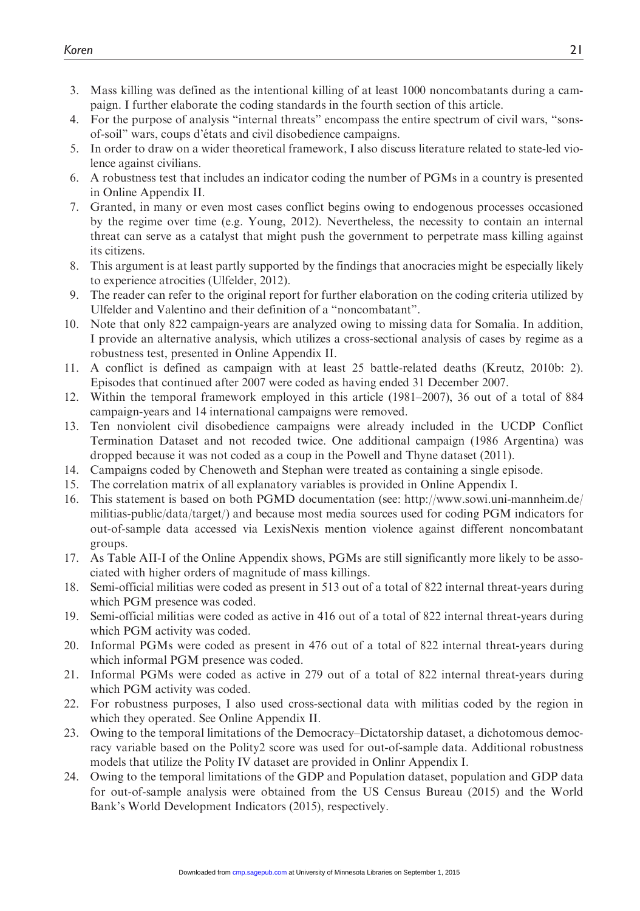- 3. Mass killing was defined as the intentional killing of at least 1000 noncombatants during a campaign. I further elaborate the coding standards in the fourth section of this article.
- 4. For the purpose of analysis ''internal threats'' encompass the entire spectrum of civil wars, ''sonsof-soil'' wars, coups d'e´tats and civil disobedience campaigns.
- 5. In order to draw on a wider theoretical framework, I also discuss literature related to state-led violence against civilians.
- 6. A robustness test that includes an indicator coding the number of PGMs in a country is presented in Online Appendix II.
- 7. Granted, in many or even most cases conflict begins owing to endogenous processes occasioned by the regime over time (e.g. Young, 2012). Nevertheless, the necessity to contain an internal threat can serve as a catalyst that might push the government to perpetrate mass killing against its citizens.
- 8. This argument is at least partly supported by the findings that anocracies might be especially likely to experience atrocities (Ulfelder, 2012).
- 9. The reader can refer to the original report for further elaboration on the coding criteria utilized by Ulfelder and Valentino and their definition of a ''noncombatant''.
- 10. Note that only 822 campaign-years are analyzed owing to missing data for Somalia. In addition, I provide an alternative analysis, which utilizes a cross-sectional analysis of cases by regime as a robustness test, presented in Online Appendix II.
- 11. A conflict is defined as campaign with at least 25 battle-related deaths (Kreutz, 2010b: 2). Episodes that continued after 2007 were coded as having ended 31 December 2007.
- 12. Within the temporal framework employed in this article (1981–2007), 36 out of a total of 884 campaign-years and 14 international campaigns were removed.
- 13. Ten nonviolent civil disobedience campaigns were already included in the UCDP Conflict Termination Dataset and not recoded twice. One additional campaign (1986 Argentina) was dropped because it was not coded as a coup in the Powell and Thyne dataset (2011).
- 14. Campaigns coded by Chenoweth and Stephan were treated as containing a single episode.
- 15. The correlation matrix of all explanatory variables is provided in Online Appendix I.
- 16. This statement is based on both PGMD documentation (see: http://www.sowi.uni-mannheim.de/ militias-public/data/target/) and because most media sources used for coding PGM indicators for out-of-sample data accessed via LexisNexis mention violence against different noncombatant groups.
- 17. As Table AII-I of the Online Appendix shows, PGMs are still significantly more likely to be associated with higher orders of magnitude of mass killings.
- 18. Semi-official militias were coded as present in 513 out of a total of 822 internal threat-years during which PGM presence was coded.
- 19. Semi-official militias were coded as active in 416 out of a total of 822 internal threat-years during which PGM activity was coded.
- 20. Informal PGMs were coded as present in 476 out of a total of 822 internal threat-years during which informal PGM presence was coded.
- 21. Informal PGMs were coded as active in 279 out of a total of 822 internal threat-years during which PGM activity was coded.
- 22. For robustness purposes, I also used cross-sectional data with militias coded by the region in which they operated. See Online Appendix II.
- 23. Owing to the temporal limitations of the Democracy–Dictatorship dataset, a dichotomous democracy variable based on the Polity2 score was used for out-of-sample data. Additional robustness models that utilize the Polity IV dataset are provided in Onlinr Appendix I.
- 24. Owing to the temporal limitations of the GDP and Population dataset, population and GDP data for out-of-sample analysis were obtained from the US Census Bureau (2015) and the World Bank's World Development Indicators (2015), respectively.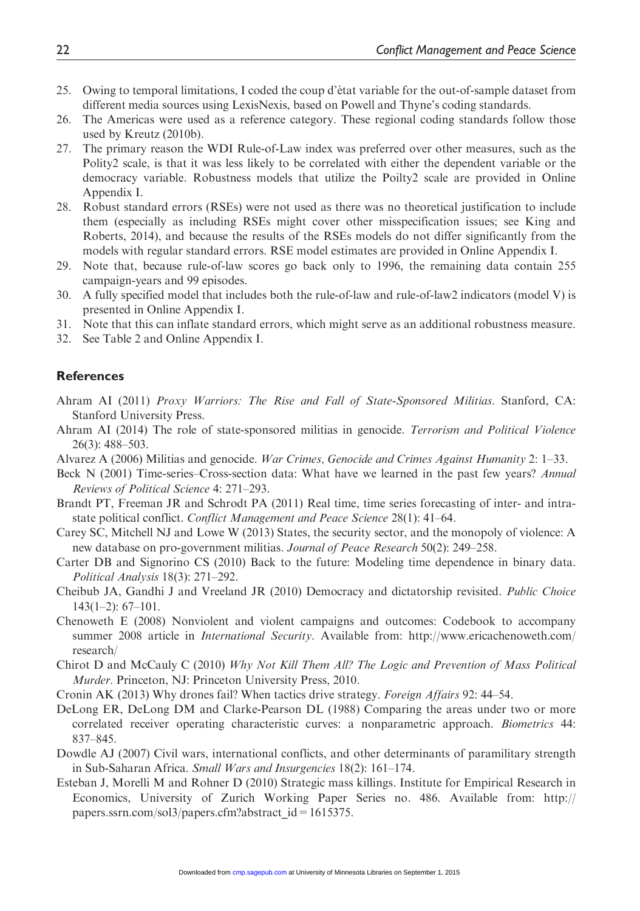- 25. Owing to temporal limitations, I coded the coup d'e´tat variable for the out-of-sample dataset from different media sources using LexisNexis, based on Powell and Thyne's coding standards.
- 26. The Americas were used as a reference category. These regional coding standards follow those used by Kreutz (2010b).
- 27. The primary reason the WDI Rule-of-Law index was preferred over other measures, such as the Polity2 scale, is that it was less likely to be correlated with either the dependent variable or the democracy variable. Robustness models that utilize the Poilty2 scale are provided in Online Appendix I.
- 28. Robust standard errors (RSEs) were not used as there was no theoretical justification to include them (especially as including RSEs might cover other misspecification issues; see King and Roberts, 2014), and because the results of the RSEs models do not differ significantly from the models with regular standard errors. RSE model estimates are provided in Online Appendix I.
- 29. Note that, because rule-of-law scores go back only to 1996, the remaining data contain 255 campaign-years and 99 episodes.
- 30. A fully specified model that includes both the rule-of-law and rule-of-law2 indicators (model V) is presented in Online Appendix I.
- 31. Note that this can inflate standard errors, which might serve as an additional robustness measure.
- 32. See Table 2 and Online Appendix I.

#### **References**

- Ahram AI (2011) Proxy Warriors: The Rise and Fall of State-Sponsored Militias. Stanford, CA: Stanford University Press.
- Ahram AI (2014) The role of state-sponsored militias in genocide. Terrorism and Political Violence 26(3): 488–503.
- Alvarez A (2006) Militias and genocide. War Crimes, Genocide and Crimes Against Humanity 2: 1–33.
- Beck N (2001) Time-series–Cross-section data: What have we learned in the past few years? Annual Reviews of Political Science 4: 271–293.
- Brandt PT, Freeman JR and Schrodt PA (2011) Real time, time series forecasting of inter- and intrastate political conflict. Conflict Management and Peace Science 28(1): 41–64.
- Carey SC, Mitchell NJ and Lowe W (2013) States, the security sector, and the monopoly of violence: A new database on pro-government militias. Journal of Peace Research 50(2): 249–258.
- Carter DB and Signorino CS (2010) Back to the future: Modeling time dependence in binary data. Political Analysis 18(3): 271–292.
- Cheibub JA, Gandhi J and Vreeland JR (2010) Democracy and dictatorship revisited. Public Choice 143(1–2): 67–101.
- Chenoweth E (2008) Nonviolent and violent campaigns and outcomes: Codebook to accompany summer 2008 article in *International Security*. Available from: http://www.ericachenoweth.com/ research/
- Chirot D and McCauly C (2010) Why Not Kill Them All? The Logic and Prevention of Mass Political Murder. Princeton, NJ: Princeton University Press, 2010.
- Cronin AK (2013) Why drones fail? When tactics drive strategy. Foreign Affairs 92: 44–54.
- DeLong ER, DeLong DM and Clarke-Pearson DL (1988) Comparing the areas under two or more correlated receiver operating characteristic curves: a nonparametric approach. Biometrics 44: 837–845.
- Dowdle AJ (2007) Civil wars, international conflicts, and other determinants of paramilitary strength in Sub-Saharan Africa. Small Wars and Insurgencies 18(2): 161–174.
- Esteban J, Morelli M and Rohner D (2010) Strategic mass killings. Institute for Empirical Research in Economics, University of Zurich Working Paper Series no. 486. Available from: http:// papers.ssrn.com/sol3/papers.cfm?abstract\_id=1615375.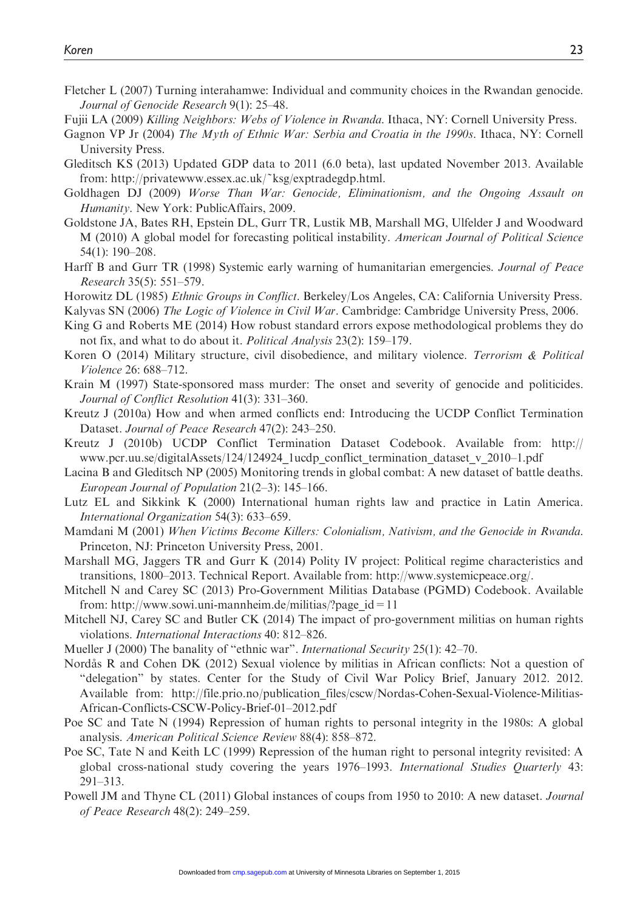- Fletcher L (2007) Turning interahamwe: Individual and community choices in the Rwandan genocide. Journal of Genocide Research 9(1): 25–48.
- Fujii LA (2009) Killing Neighbors: Webs of Violence in Rwanda. Ithaca, NY: Cornell University Press.
- Gagnon VP Jr (2004) The Myth of Ethnic War: Serbia and Croatia in the 1990s. Ithaca, NY: Cornell University Press.
- Gleditsch KS (2013) Updated GDP data to 2011 (6.0 beta), last updated November 2013. Available from: http://privatewww.essex.ac.uk/~ksg/exptradegdp.html.
- Goldhagen DJ (2009) Worse Than War: Genocide, Eliminationism, and the Ongoing Assault on Humanity. New York: PublicAffairs, 2009.
- Goldstone JA, Bates RH, Epstein DL, Gurr TR, Lustik MB, Marshall MG, Ulfelder J and Woodward M (2010) A global model for forecasting political instability. American Journal of Political Science 54(1): 190–208.
- Harff B and Gurr TR (1998) Systemic early warning of humanitarian emergencies. Journal of Peace Research 35(5): 551–579.

Horowitz DL (1985) Ethnic Groups in Conflict. Berkeley/Los Angeles, CA: California University Press. Kalyvas SN (2006) The Logic of Violence in Civil War. Cambridge: Cambridge University Press, 2006.

- King G and Roberts ME (2014) How robust standard errors expose methodological problems they do not fix, and what to do about it. Political Analysis 23(2): 159–179.
- Koren O (2014) Military structure, civil disobedience, and military violence. Terrorism & Political Violence 26: 688–712.
- Krain M (1997) State-sponsored mass murder: The onset and severity of genocide and politicides. Journal of Conflict Resolution 41(3): 331–360.
- Kreutz J (2010a) How and when armed conflicts end: Introducing the UCDP Conflict Termination Dataset. Journal of Peace Research 47(2): 243–250.
- Kreutz J (2010b) UCDP Conflict Termination Dataset Codebook. Available from: http:// www.pcr.uu.se/digitalAssets/124/124924\_1ucdp\_conflict\_termination\_dataset\_v\_2010–1.pdf
- Lacina B and Gleditsch NP (2005) Monitoring trends in global combat: A new dataset of battle deaths. European Journal of Population 21(2–3): 145–166.
- Lutz EL and Sikkink K (2000) International human rights law and practice in Latin America. International Organization 54(3): 633–659.
- Mamdani M (2001) When Victims Become Killers: Colonialism, Nativism, and the Genocide in Rwanda. Princeton, NJ: Princeton University Press, 2001.
- Marshall MG, Jaggers TR and Gurr K (2014) Polity IV project: Political regime characteristics and transitions, 1800–2013. Technical Report. Available from: http://www.systemicpeace.org/.

Mitchell N and Carey SC (2013) Pro-Government Militias Database (PGMD) Codebook. Available from: http://www.sowi.uni-mannheim.de/militias/?page\_id=11

- Mitchell NJ, Carey SC and Butler CK (2014) The impact of pro-government militias on human rights violations. International Interactions 40: 812–826.
- Mueller J (2000) The banality of ''ethnic war''. International Security 25(1): 42–70.
- Nordås R and Cohen DK (2012) Sexual violence by militias in African conflicts: Not a question of ''delegation'' by states. Center for the Study of Civil War Policy Brief, January 2012. 2012. Available from: http://file.prio.no/publication files/cscw/Nordas-Cohen-Sexual-Violence-Militias-African-Conflicts-CSCW-Policy-Brief-01–2012.pdf
- Poe SC and Tate N (1994) Repression of human rights to personal integrity in the 1980s: A global analysis. American Political Science Review 88(4): 858–872.
- Poe SC, Tate N and Keith LC (1999) Repression of the human right to personal integrity revisited: A global cross-national study covering the years 1976–1993. International Studies Quarterly 43: 291–313.
- Powell JM and Thyne CL (2011) Global instances of coups from 1950 to 2010: A new dataset. Journal of Peace Research 48(2): 249–259.